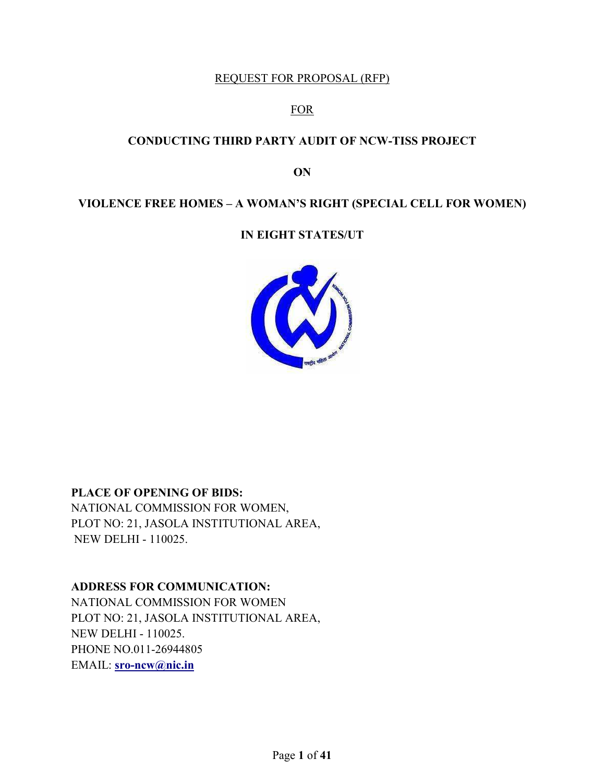#### REQUEST FOR PROPOSAL (RFP)

#### FOR

#### **CONDUCTING THIRD PARTY AUDIT OF NCW-TISS PROJECT**

#### **ON**

## **VIOLENCE FREE HOMES – A WOMAN'S RIGHT (SPECIAL CELL FOR WOMEN)**

#### **IN EIGHT STATES/UT**



#### **PLACE OF OPENING OF BIDS:**

NATIONAL COMMISSION FOR WOMEN, PLOT NO: 21, JASOLA INSTITUTIONAL AREA, NEW DELHI - 110025.

#### **ADDRESS FOR COMMUNICATION:**

NATIONAL COMMISSION FOR WOMEN PLOT NO: 21, JASOLA INSTITUTIONAL AREA, NEW DELHI - 110025. PHONE NO.011-26944805 EMAIL: **sro-ncw@nic.in**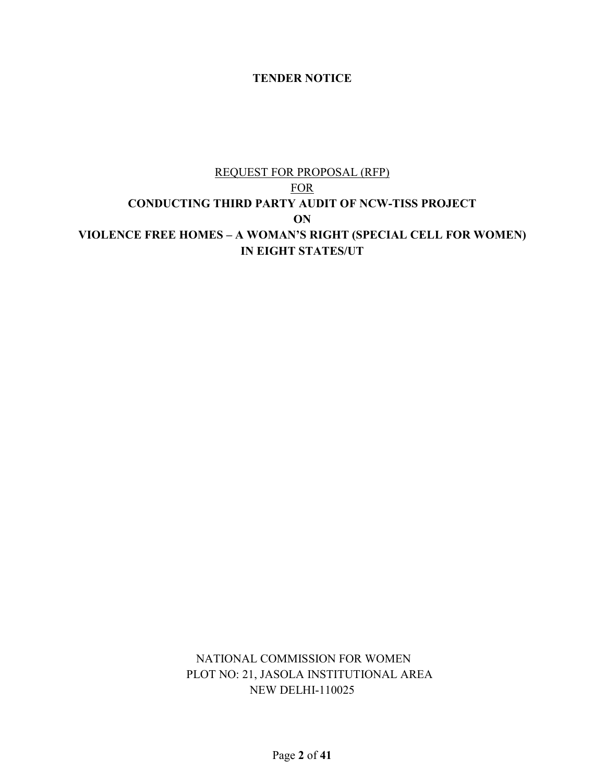#### **TENDER NOTICE**

## REQUEST FOR PROPOSAL (RFP) FOR **CONDUCTING THIRD PARTY AUDIT OF NCW-TISS PROJECT ON VIOLENCE FREE HOMES – A WOMAN'S RIGHT (SPECIAL CELL FOR WOMEN) IN EIGHT STATES/UT**

 NATIONAL COMMISSION FOR WOMEN PLOT NO: 21, JASOLA INSTITUTIONAL AREA NEW DELHI-110025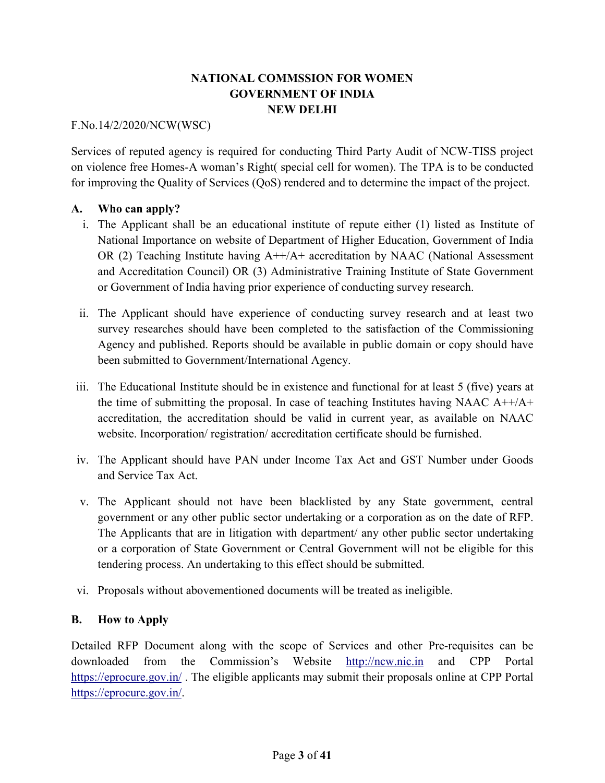## **NATIONAL COMMSSION FOR WOMEN GOVERNMENT OF INDIA NEW DELHI**

#### F.No.14/2/2020/NCW(WSC)

Services of reputed agency is required for conducting Third Party Audit of NCW-TISS project on violence free Homes-A woman's Right( special cell for women). The TPA is to be conducted for improving the Quality of Services (QoS) rendered and to determine the impact of the project.

#### **A. Who can apply?**

- i. The Applicant shall be an educational institute of repute either (1) listed as Institute of National Importance on website of Department of Higher Education, Government of India OR (2) Teaching Institute having  $A++/A+$  accreditation by NAAC (National Assessment and Accreditation Council) OR (3) Administrative Training Institute of State Government or Government of India having prior experience of conducting survey research.
- ii. The Applicant should have experience of conducting survey research and at least two survey researches should have been completed to the satisfaction of the Commissioning Agency and published. Reports should be available in public domain or copy should have been submitted to Government/International Agency.
- iii. The Educational Institute should be in existence and functional for at least 5 (five) years at the time of submitting the proposal. In case of teaching Institutes having NAAC  $A^{++}/A^{+}$ accreditation, the accreditation should be valid in current year, as available on NAAC website. Incorporation/ registration/ accreditation certificate should be furnished.
- iv. The Applicant should have PAN under Income Tax Act and GST Number under Goods and Service Tax Act.
- v. The Applicant should not have been blacklisted by any State government, central government or any other public sector undertaking or a corporation as on the date of RFP. The Applicants that are in litigation with department/ any other public sector undertaking or a corporation of State Government or Central Government will not be eligible for this tendering process. An undertaking to this effect should be submitted.
- vi. Proposals without abovementioned documents will be treated as ineligible.

#### **B. How to Apply**

Detailed RFP Document along with the scope of Services and other Pre-requisites can be downloaded from the Commission's Website http://ncw.nic.in and CPP Portal https://eprocure.gov.in/. The eligible applicants may submit their proposals online at CPP Portal https://eprocure.gov.in/.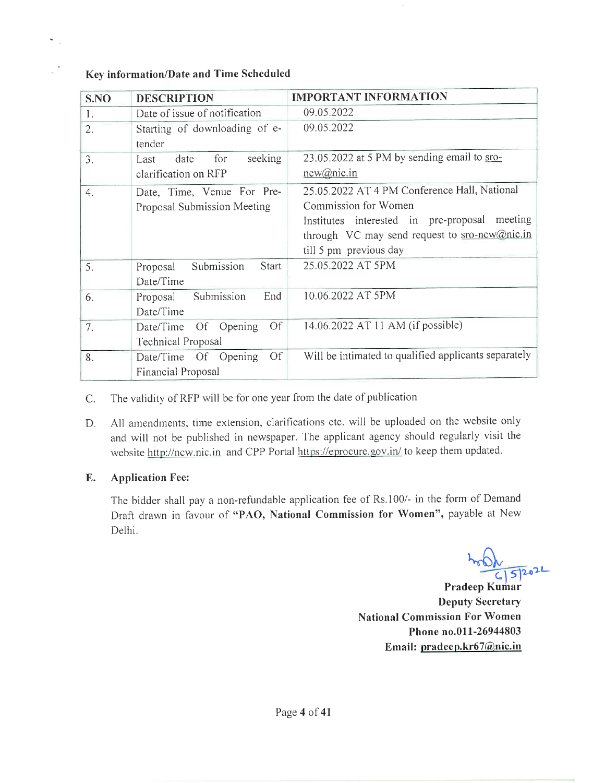#### Key information/Date and Time Scheduled

 $\hat{\mathbf{a}}$ i.

 $\leq$ 

| S.NO | <b>DESCRIPTION</b>                     | <b>IMPORTANT INFORMATION</b>                         |
|------|----------------------------------------|------------------------------------------------------|
| 1.   | Date of issue of notification          | 09.05.2022                                           |
| 2.   | Starting of downloading of e-          | 09.05.2022                                           |
|      | tender                                 |                                                      |
| 3.   | seeking<br>for<br>Last<br>date         | 23.05.2022 at 5 PM by sending email to sro-          |
|      | clarification on RFP                   | new@nic.in                                           |
| 4.   | Date, Time, Venue For Pre-             | 25.05.2022 AT 4 PM Conference Hall, National         |
|      | Proposal Submission Meeting            | Commission for Women                                 |
|      |                                        | meeting<br>Institutes interested in pre-proposal     |
|      |                                        | through VC may send request to sro-new@nic.in        |
|      |                                        | till 5 pm previous day                               |
| 5.   | Submission<br><b>Start</b><br>Proposal | 25.05.2022 AT 5PM                                    |
|      | Date/Time                              |                                                      |
| 6.   | End<br>Submission<br>Proposal          | 10.06.2022 AT 5PM                                    |
|      | Date/Time                              |                                                      |
| 7.   | <b>Of</b><br>Date/Time Of Opening      | 14.06.2022 AT 11 AM (if possible)                    |
|      | Technical Proposal                     |                                                      |
| 8.   | Of<br>Date/Time Of Opening             | Will be intimated to qualified applicants separately |
|      | Financial Proposal                     |                                                      |

The validity of RFP will be for one year from the date of publication  $C.$ 

All amendments, time extension, clarifications etc. will be uploaded on the website only D. and will not be published in newspaper. The applicant agency should regularly visit the website http://ncw.nic.in and CPP Portal https://eprocure.gov.in/ to keep them updated.

#### E. **Application Fee:**

The bidder shall pay a non-refundable application fee of Rs.100/- in the form of Demand Draft drawn in favour of "PAO, National Commission for Women", payable at New Delhi.

 $6|5|2022$ 

Pradeep Kumar **Deputy Secretary National Commission For Women** Phone no.011-26944803 Email: pradeep.kr67@nic.in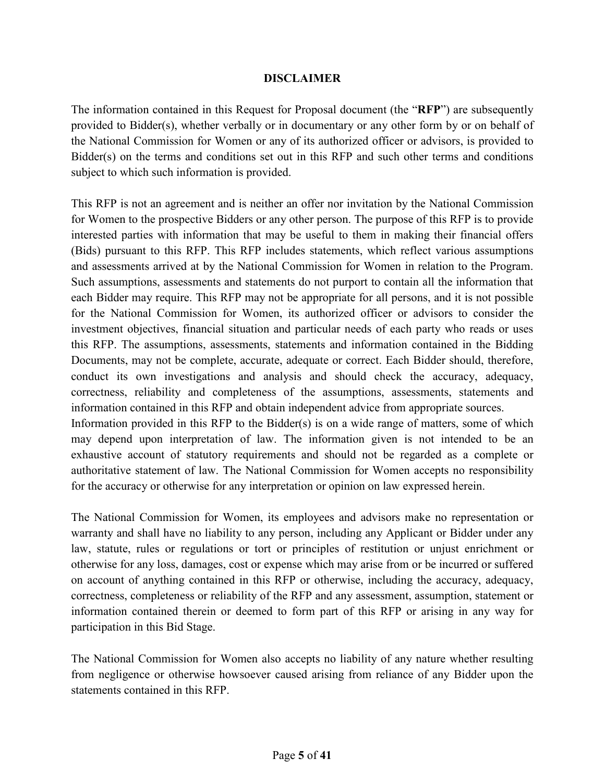#### **DISCLAIMER**

The information contained in this Request for Proposal document (the "**RFP**") are subsequently provided to Bidder(s), whether verbally or in documentary or any other form by or on behalf of the National Commission for Women or any of its authorized officer or advisors, is provided to Bidder(s) on the terms and conditions set out in this RFP and such other terms and conditions subject to which such information is provided.

This RFP is not an agreement and is neither an offer nor invitation by the National Commission for Women to the prospective Bidders or any other person. The purpose of this RFP is to provide interested parties with information that may be useful to them in making their financial offers (Bids) pursuant to this RFP. This RFP includes statements, which reflect various assumptions and assessments arrived at by the National Commission for Women in relation to the Program. Such assumptions, assessments and statements do not purport to contain all the information that each Bidder may require. This RFP may not be appropriate for all persons, and it is not possible for the National Commission for Women, its authorized officer or advisors to consider the investment objectives, financial situation and particular needs of each party who reads or uses this RFP. The assumptions, assessments, statements and information contained in the Bidding Documents, may not be complete, accurate, adequate or correct. Each Bidder should, therefore, conduct its own investigations and analysis and should check the accuracy, adequacy, correctness, reliability and completeness of the assumptions, assessments, statements and information contained in this RFP and obtain independent advice from appropriate sources. Information provided in this RFP to the Bidder(s) is on a wide range of matters, some of which

may depend upon interpretation of law. The information given is not intended to be an exhaustive account of statutory requirements and should not be regarded as a complete or authoritative statement of law. The National Commission for Women accepts no responsibility for the accuracy or otherwise for any interpretation or opinion on law expressed herein.

The National Commission for Women, its employees and advisors make no representation or warranty and shall have no liability to any person, including any Applicant or Bidder under any law, statute, rules or regulations or tort or principles of restitution or unjust enrichment or otherwise for any loss, damages, cost or expense which may arise from or be incurred or suffered on account of anything contained in this RFP or otherwise, including the accuracy, adequacy, correctness, completeness or reliability of the RFP and any assessment, assumption, statement or information contained therein or deemed to form part of this RFP or arising in any way for participation in this Bid Stage.

The National Commission for Women also accepts no liability of any nature whether resulting from negligence or otherwise howsoever caused arising from reliance of any Bidder upon the statements contained in this RFP.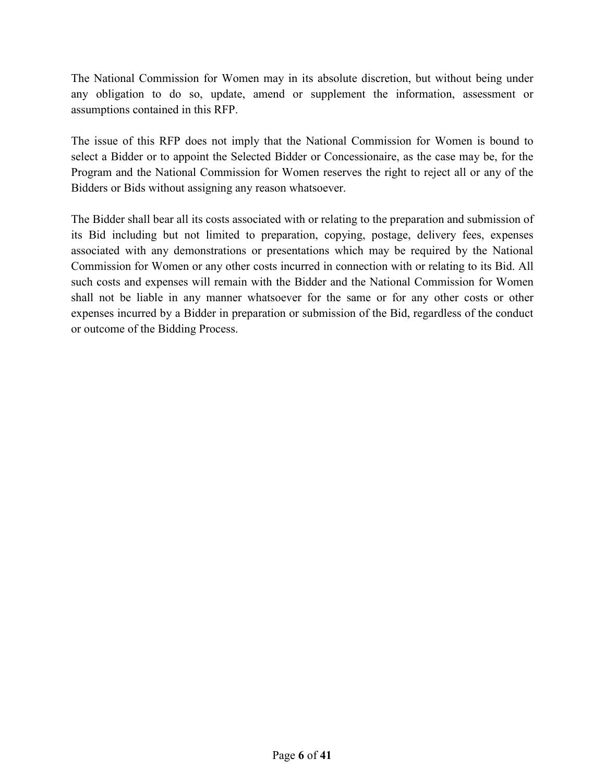The National Commission for Women may in its absolute discretion, but without being under any obligation to do so, update, amend or supplement the information, assessment or assumptions contained in this RFP.

The issue of this RFP does not imply that the National Commission for Women is bound to select a Bidder or to appoint the Selected Bidder or Concessionaire, as the case may be, for the Program and the National Commission for Women reserves the right to reject all or any of the Bidders or Bids without assigning any reason whatsoever.

The Bidder shall bear all its costs associated with or relating to the preparation and submission of its Bid including but not limited to preparation, copying, postage, delivery fees, expenses associated with any demonstrations or presentations which may be required by the National Commission for Women or any other costs incurred in connection with or relating to its Bid. All such costs and expenses will remain with the Bidder and the National Commission for Women shall not be liable in any manner whatsoever for the same or for any other costs or other expenses incurred by a Bidder in preparation or submission of the Bid, regardless of the conduct or outcome of the Bidding Process.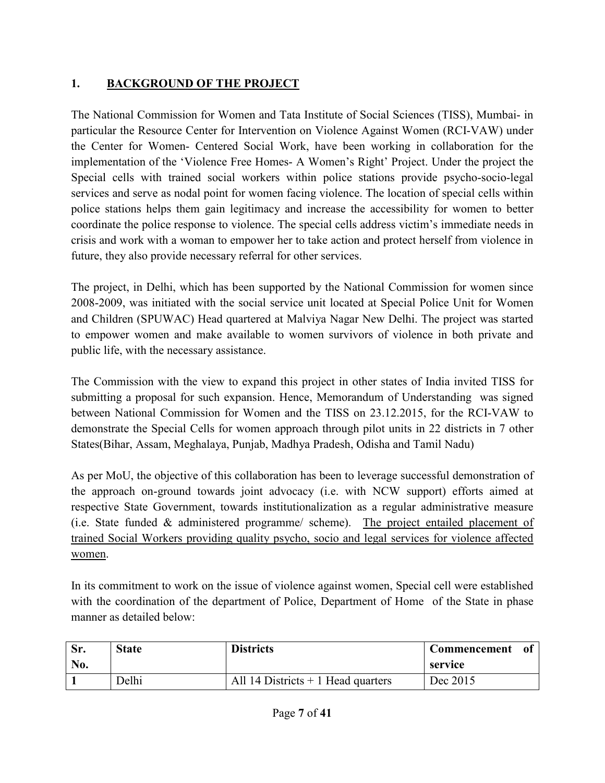# **1. BACKGROUND OF THE PROJECT**

The National Commission for Women and Tata Institute of Social Sciences (TISS), Mumbai- in particular the Resource Center for Intervention on Violence Against Women (RCI-VAW) under the Center for Women- Centered Social Work, have been working in collaboration for the implementation of the 'Violence Free Homes- A Women's Right' Project. Under the project the Special cells with trained social workers within police stations provide psycho-socio-legal services and serve as nodal point for women facing violence. The location of special cells within police stations helps them gain legitimacy and increase the accessibility for women to better coordinate the police response to violence. The special cells address victim's immediate needs in crisis and work with a woman to empower her to take action and protect herself from violence in future, they also provide necessary referral for other services.

The project, in Delhi, which has been supported by the National Commission for women since 2008-2009, was initiated with the social service unit located at Special Police Unit for Women and Children (SPUWAC) Head quartered at Malviya Nagar New Delhi. The project was started to empower women and make available to women survivors of violence in both private and public life, with the necessary assistance.

The Commission with the view to expand this project in other states of India invited TISS for submitting a proposal for such expansion. Hence, Memorandum of Understanding was signed between National Commission for Women and the TISS on 23.12.2015, for the RCI-VAW to demonstrate the Special Cells for women approach through pilot units in 22 districts in 7 other States(Bihar, Assam, Meghalaya, Punjab, Madhya Pradesh, Odisha and Tamil Nadu)

As per MoU, the objective of this collaboration has been to leverage successful demonstration of the approach on-ground towards joint advocacy (i.e. with NCW support) efforts aimed at respective State Government, towards institutionalization as a regular administrative measure (i.e. State funded & administered programme/ scheme). The project entailed placement of trained Social Workers providing quality psycho, socio and legal services for violence affected women.

In its commitment to work on the issue of violence against women, Special cell were established with the coordination of the department of Police, Department of Home of the State in phase manner as detailed below:

|     | <b>State</b> | <b>Districts</b>                    | <b>Commencement</b> |  |
|-----|--------------|-------------------------------------|---------------------|--|
| No. |              |                                     | service             |  |
|     | Delhi        | All 14 Districts $+1$ Head quarters | Dec 2015            |  |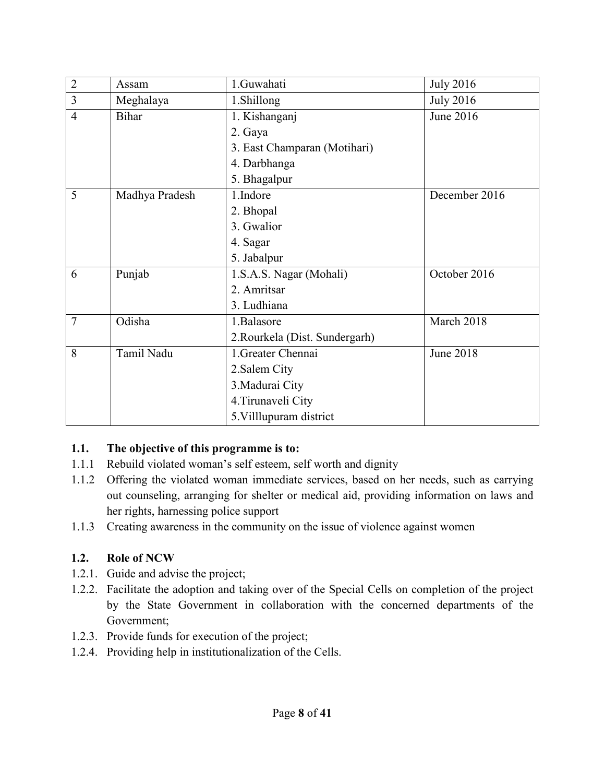| $\overline{2}$ | Assam          | 1.Guwahati                     | <b>July 2016</b> |
|----------------|----------------|--------------------------------|------------------|
| 3              | Meghalaya      | 1.Shillong                     | <b>July 2016</b> |
| $\overline{4}$ | <b>Bihar</b>   | 1. Kishanganj                  | June 2016        |
|                |                | 2. Gaya                        |                  |
|                |                | 3. East Champaran (Motihari)   |                  |
|                |                | 4. Darbhanga                   |                  |
|                |                | 5. Bhagalpur                   |                  |
| 5              | Madhya Pradesh | 1.Indore                       | December 2016    |
|                |                | 2. Bhopal                      |                  |
|                |                | 3. Gwalior                     |                  |
|                |                | 4. Sagar                       |                  |
|                |                | 5. Jabalpur                    |                  |
| 6              | Punjab         | 1.S.A.S. Nagar (Mohali)        | October 2016     |
|                |                | 2. Amritsar                    |                  |
|                |                | 3. Ludhiana                    |                  |
| $\overline{7}$ | Odisha         | 1.Balasore                     | March 2018       |
|                |                | 2. Rourkela (Dist. Sundergarh) |                  |
| 8              | Tamil Nadu     | 1. Greater Chennai             | June 2018        |
|                |                | 2. Salem City                  |                  |
|                |                | 3. Madurai City                |                  |
|                |                | 4. Tirunaveli City             |                  |
|                |                | 5. Villlupuram district        |                  |

## **1.1. The objective of this programme is to:**

- 1.1.1 Rebuild violated woman's self esteem, self worth and dignity
- 1.1.2 Offering the violated woman immediate services, based on her needs, such as carrying out counseling, arranging for shelter or medical aid, providing information on laws and her rights, harnessing police support
- 1.1.3 Creating awareness in the community on the issue of violence against women

## **1.2. Role of NCW**

- 1.2.1. Guide and advise the project;
- 1.2.2. Facilitate the adoption and taking over of the Special Cells on completion of the project by the State Government in collaboration with the concerned departments of the Government;
- 1.2.3. Provide funds for execution of the project;
- 1.2.4. Providing help in institutionalization of the Cells.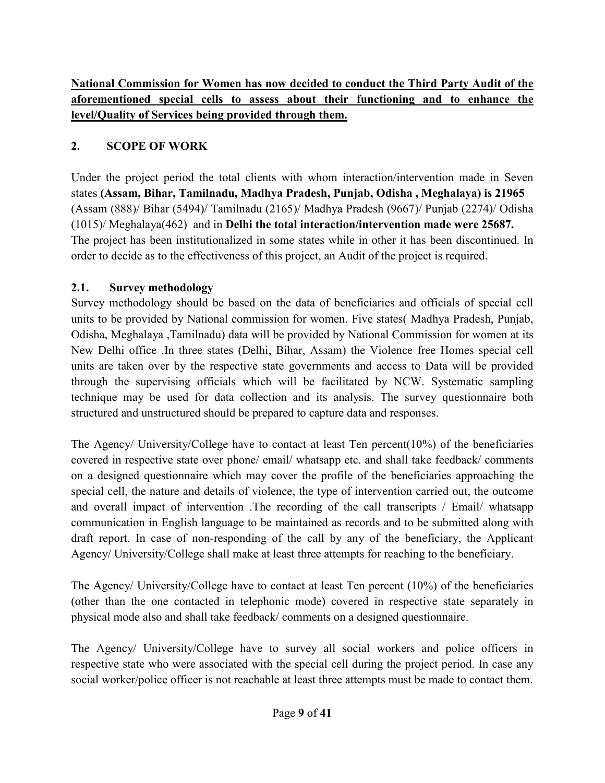**National Commission for Women has now decided to conduct the Third Party Audit of the aforementioned special cells to assess about their functioning and to enhance the level/Quality of Services being provided through them.** 

# **2. SCOPE OF WORK**

Under the project period the total clients with whom interaction/intervention made in Seven states **(Assam, Bihar, Tamilnadu, Madhya Pradesh, Punjab, Odisha , Meghalaya) is 21965**  (Assam (888)/ Bihar (5494)/ Tamilnadu (2165)/ Madhya Pradesh (9667)/ Punjab (2274)/ Odisha (1015)/ Meghalaya(462) and in **Delhi the total interaction/intervention made were 25687.** The project has been institutionalized in some states while in other it has been discontinued. In order to decide as to the effectiveness of this project, an Audit of the project is required.

## **2.1. Survey methodology**

Survey methodology should be based on the data of beneficiaries and officials of special cell units to be provided by National commission for women. Five states( Madhya Pradesh, Punjab, Odisha, Meghalaya ,Tamilnadu) data will be provided by National Commission for women at its New Delhi office .In three states (Delhi, Bihar, Assam) the Violence free Homes special cell units are taken over by the respective state governments and access to Data will be provided through the supervising officials which will be facilitated by NCW. Systematic sampling technique may be used for data collection and its analysis. The survey questionnaire both structured and unstructured should be prepared to capture data and responses.

The Agency/ University/College have to contact at least Ten percent(10%) of the beneficiaries covered in respective state over phone/ email/ whatsapp etc. and shall take feedback/ comments on a designed questionnaire which may cover the profile of the beneficiaries approaching the special cell, the nature and details of violence, the type of intervention carried out, the outcome and overall impact of intervention .The recording of the call transcripts / Email/ whatsapp communication in English language to be maintained as records and to be submitted along with draft report. In case of non-responding of the call by any of the beneficiary, the Applicant Agency/ University/College shall make at least three attempts for reaching to the beneficiary.

The Agency/ University/College have to contact at least Ten percent (10%) of the beneficiaries (other than the one contacted in telephonic mode) covered in respective state separately in physical mode also and shall take feedback/ comments on a designed questionnaire.

The Agency/ University/College have to survey all social workers and police officers in respective state who were associated with the special cell during the project period. In case any social worker/police officer is not reachable at least three attempts must be made to contact them.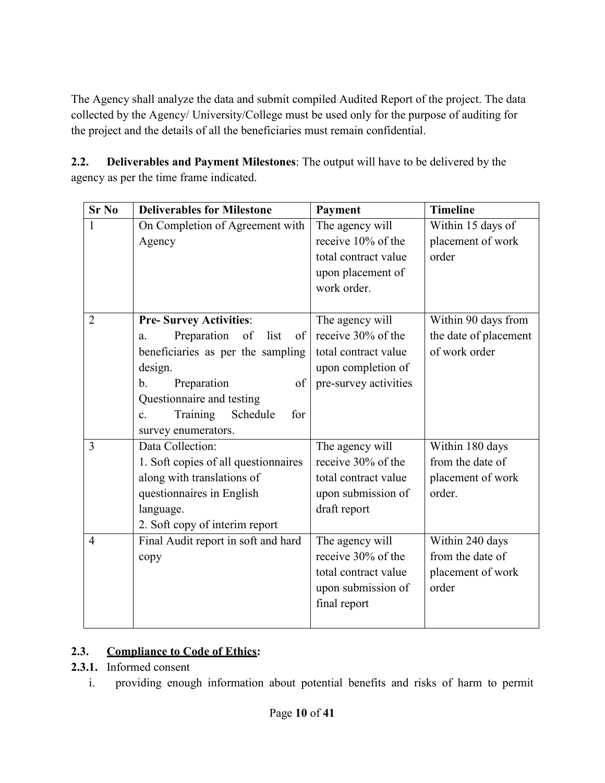The Agency shall analyze the data and submit compiled Audited Report of the project. The data collected by the Agency/ University/College must be used only for the purpose of auditing for the project and the details of all the beneficiaries must remain confidential.

**2.2. Deliverables and Payment Milestones**: The output will have to be delivered by the agency as per the time frame indicated.

| <b>Sr No</b>   | <b>Deliverables for Milestone</b>             | Payment               | <b>Timeline</b>       |
|----------------|-----------------------------------------------|-----------------------|-----------------------|
| $\mathbf{1}$   | On Completion of Agreement with               | The agency will       | Within 15 days of     |
|                | Agency                                        | receive 10% of the    | placement of work     |
|                |                                               | total contract value  | order                 |
|                |                                               | upon placement of     |                       |
|                |                                               | work order.           |                       |
|                |                                               |                       |                       |
| $\overline{2}$ | <b>Pre-Survey Activities:</b>                 | The agency will       | Within 90 days from   |
|                | Preparation<br>list<br>of<br>of<br>a.         | receive 30% of the    | the date of placement |
|                | beneficiaries as per the sampling             | total contract value  | of work order         |
|                | design.                                       | upon completion of    |                       |
|                | Preparation<br>of<br>b.                       | pre-survey activities |                       |
|                | Questionnaire and testing                     |                       |                       |
|                | Training<br>Schedule<br>for<br>$\mathbf{c}$ . |                       |                       |
|                | survey enumerators.                           |                       |                       |
| 3              | Data Collection:                              | The agency will       | Within 180 days       |
|                | 1. Soft copies of all questionnaires          | receive 30% of the    | from the date of      |
|                | along with translations of                    | total contract value  | placement of work     |
|                | questionnaires in English                     | upon submission of    | order.                |
|                | language.                                     | draft report          |                       |
|                | 2. Soft copy of interim report                |                       |                       |
| $\overline{4}$ | Final Audit report in soft and hard           | The agency will       | Within 240 days       |
|                | copy                                          | receive 30% of the    | from the date of      |
|                |                                               | total contract value  | placement of work     |
|                |                                               | upon submission of    | order                 |
|                |                                               | final report          |                       |
|                |                                               |                       |                       |

# **2.3. Compliance to Code of Ethics:**

- **2.3.1.** Informed consent
	- i. providing enough information about potential benefits and risks of harm to permit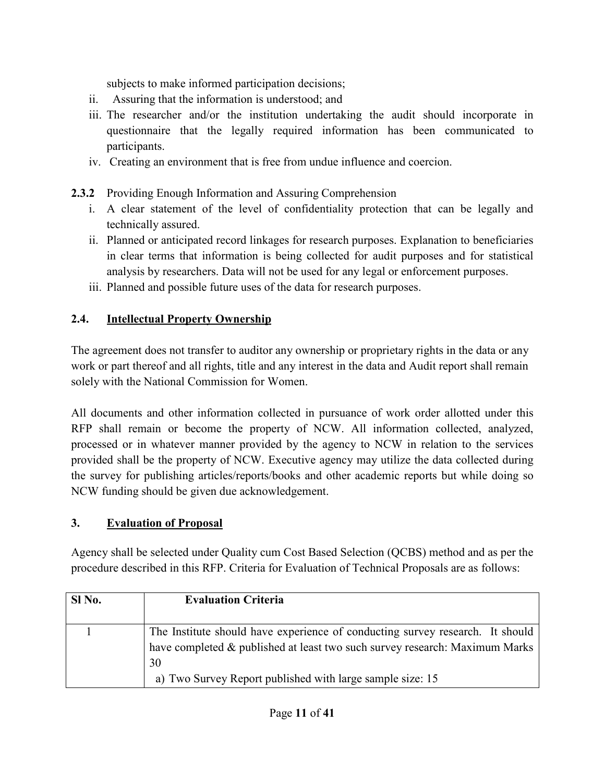subjects to make informed participation decisions;

- ii. Assuring that the information is understood; and
- iii. The researcher and/or the institution undertaking the audit should incorporate in questionnaire that the legally required information has been communicated to participants.
- iv. Creating an environment that is free from undue influence and coercion.
- **2.3.2** Providing Enough Information and Assuring Comprehension
	- i. A clear statement of the level of confidentiality protection that can be legally and technically assured.
	- ii. Planned or anticipated record linkages for research purposes. Explanation to beneficiaries in clear terms that information is being collected for audit purposes and for statistical analysis by researchers. Data will not be used for any legal or enforcement purposes.
	- iii. Planned and possible future uses of the data for research purposes.

# **2.4. Intellectual Property Ownership**

The agreement does not transfer to auditor any ownership or proprietary rights in the data or any work or part thereof and all rights, title and any interest in the data and Audit report shall remain solely with the National Commission for Women.

All documents and other information collected in pursuance of work order allotted under this RFP shall remain or become the property of NCW. All information collected, analyzed, processed or in whatever manner provided by the agency to NCW in relation to the services provided shall be the property of NCW. Executive agency may utilize the data collected during the survey for publishing articles/reports/books and other academic reports but while doing so NCW funding should be given due acknowledgement.

# **3. Evaluation of Proposal**

Agency shall be selected under Quality cum Cost Based Selection (QCBS) method and as per the procedure described in this RFP. Criteria for Evaluation of Technical Proposals are as follows:

| SI <sub>No.</sub> | <b>Evaluation Criteria</b>                                                    |
|-------------------|-------------------------------------------------------------------------------|
|                   |                                                                               |
|                   | The Institute should have experience of conducting survey research. It should |
|                   | have completed & published at least two such survey research: Maximum Marks   |
|                   | 30                                                                            |
|                   | a) Two Survey Report published with large sample size: 15                     |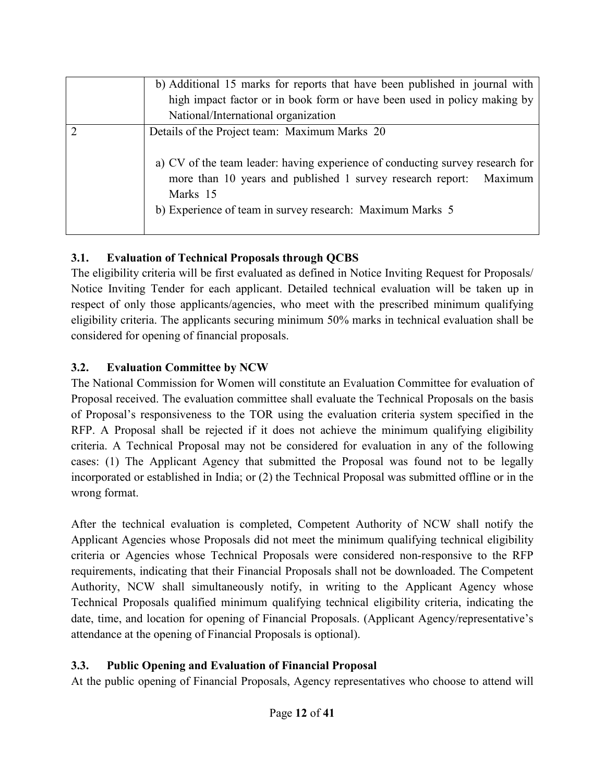| b) Additional 15 marks for reports that have been published in journal with<br>high impact factor or in book form or have been used in policy making by<br>National/International organization                                                                                |
|-------------------------------------------------------------------------------------------------------------------------------------------------------------------------------------------------------------------------------------------------------------------------------|
| Details of the Project team: Maximum Marks 20<br>a) CV of the team leader: having experience of conducting survey research for<br>more than 10 years and published 1 survey research report: Maximum<br>Marks 15<br>b) Experience of team in survey research: Maximum Marks 5 |

## **3.1. Evaluation of Technical Proposals through QCBS**

The eligibility criteria will be first evaluated as defined in Notice Inviting Request for Proposals/ Notice Inviting Tender for each applicant. Detailed technical evaluation will be taken up in respect of only those applicants/agencies, who meet with the prescribed minimum qualifying eligibility criteria. The applicants securing minimum 50% marks in technical evaluation shall be considered for opening of financial proposals.

## **3.2. Evaluation Committee by NCW**

The National Commission for Women will constitute an Evaluation Committee for evaluation of Proposal received. The evaluation committee shall evaluate the Technical Proposals on the basis of Proposal's responsiveness to the TOR using the evaluation criteria system specified in the RFP. A Proposal shall be rejected if it does not achieve the minimum qualifying eligibility criteria. A Technical Proposal may not be considered for evaluation in any of the following cases: (1) The Applicant Agency that submitted the Proposal was found not to be legally incorporated or established in India; or (2) the Technical Proposal was submitted offline or in the wrong format.

After the technical evaluation is completed, Competent Authority of NCW shall notify the Applicant Agencies whose Proposals did not meet the minimum qualifying technical eligibility criteria or Agencies whose Technical Proposals were considered non-responsive to the RFP requirements, indicating that their Financial Proposals shall not be downloaded. The Competent Authority, NCW shall simultaneously notify, in writing to the Applicant Agency whose Technical Proposals qualified minimum qualifying technical eligibility criteria, indicating the date, time, and location for opening of Financial Proposals. (Applicant Agency/representative's attendance at the opening of Financial Proposals is optional).

## **3.3. Public Opening and Evaluation of Financial Proposal**

At the public opening of Financial Proposals, Agency representatives who choose to attend will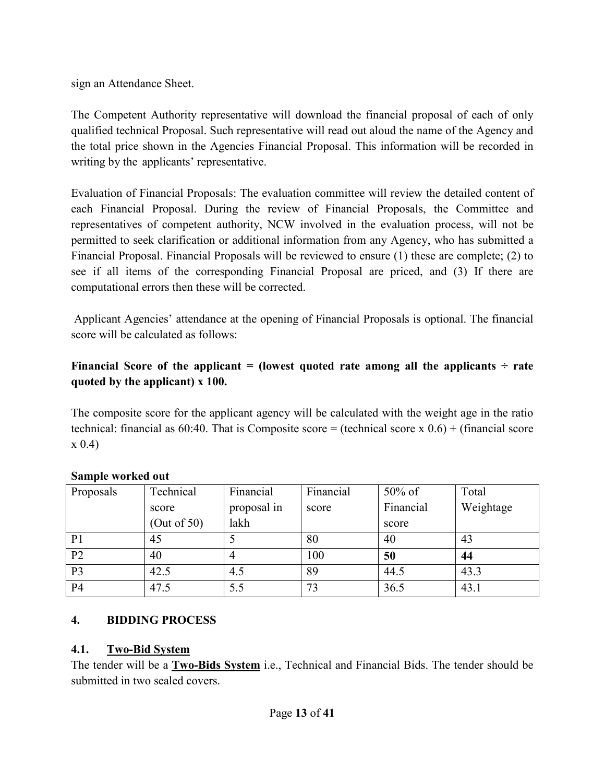sign an Attendance Sheet.

The Competent Authority representative will download the financial proposal of each of only qualified technical Proposal. Such representative will read out aloud the name of the Agency and the total price shown in the Agencies Financial Proposal. This information will be recorded in writing by the applicants' representative.

Evaluation of Financial Proposals: The evaluation committee will review the detailed content of each Financial Proposal. During the review of Financial Proposals, the Committee and representatives of competent authority, NCW involved in the evaluation process, will not be permitted to seek clarification or additional information from any Agency, who has submitted a Financial Proposal. Financial Proposals will be reviewed to ensure (1) these are complete; (2) to see if all items of the corresponding Financial Proposal are priced, and (3) If there are computational errors then these will be corrected.

 Applicant Agencies' attendance at the opening of Financial Proposals is optional. The financial score will be calculated as follows:

## Financial Score of the applicant  $=$  (lowest quoted rate among all the applicants  $\div$  rate **quoted by the applicant) x 100.**

The composite score for the applicant agency will be calculated with the weight age in the ratio technical: financial as 60:40. That is Composite score = (technical score x  $0.6$ ) + (financial score x 0.4)

| Proposals      | Technical      | Financial   | Financial | $50\%$ of | Total     |
|----------------|----------------|-------------|-----------|-----------|-----------|
|                | score          | proposal in | score     | Financial | Weightage |
|                | (Out of $50$ ) | lakh        |           | score     |           |
| P <sub>1</sub> | 45             |             | 80        | 40        | 43        |
| P <sub>2</sub> | 40             |             | 100       | 50        | 44        |
| P <sub>3</sub> | 42.5           | 4.5         | 89        | 44.5      | 43.3      |
| P <sub>4</sub> | 47.5           | 5.5         | 73        | 36.5      | 43.1      |

## **Sample worked out**

## **4. BIDDING PROCESS**

## **4.1. Two-Bid System**

The tender will be a **Two-Bids System** i.e., Technical and Financial Bids. The tender should be submitted in two sealed covers.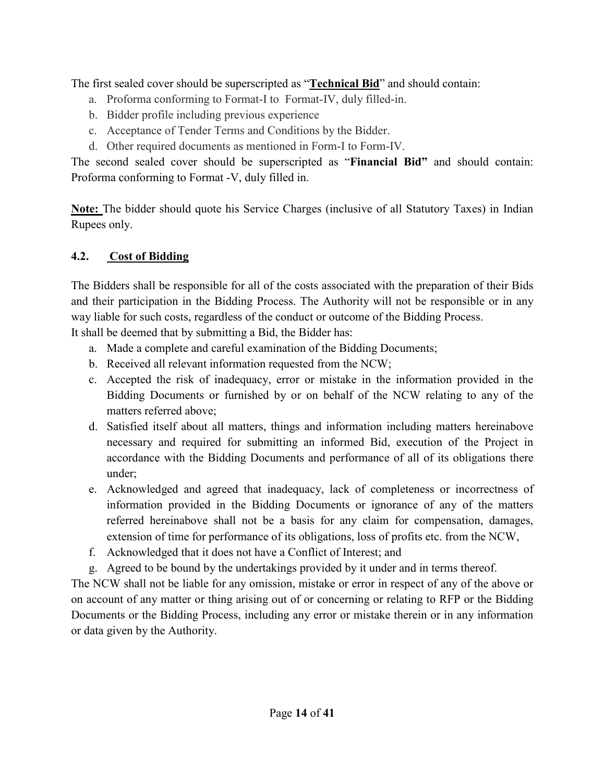The first sealed cover should be superscripted as "**Technical Bid**" and should contain:

- a. Proforma conforming to Format-I to Format-IV, duly filled-in.
- b. Bidder profile including previous experience
- c. Acceptance of Tender Terms and Conditions by the Bidder.
- d. Other required documents as mentioned in Form-I to Form-IV.

The second sealed cover should be superscripted as "**Financial Bid"** and should contain: Proforma conforming to Format -V, duly filled in.

**Note:** The bidder should quote his Service Charges (inclusive of all Statutory Taxes) in Indian Rupees only.

## **4.2. Cost of Bidding**

The Bidders shall be responsible for all of the costs associated with the preparation of their Bids and their participation in the Bidding Process. The Authority will not be responsible or in any way liable for such costs, regardless of the conduct or outcome of the Bidding Process.

It shall be deemed that by submitting a Bid, the Bidder has:

- a. Made a complete and careful examination of the Bidding Documents;
- b. Received all relevant information requested from the NCW;
- c. Accepted the risk of inadequacy, error or mistake in the information provided in the Bidding Documents or furnished by or on behalf of the NCW relating to any of the matters referred above;
- d. Satisfied itself about all matters, things and information including matters hereinabove necessary and required for submitting an informed Bid, execution of the Project in accordance with the Bidding Documents and performance of all of its obligations there under;
- e. Acknowledged and agreed that inadequacy, lack of completeness or incorrectness of information provided in the Bidding Documents or ignorance of any of the matters referred hereinabove shall not be a basis for any claim for compensation, damages, extension of time for performance of its obligations, loss of profits etc. from the NCW,
- f. Acknowledged that it does not have a Conflict of Interest; and
- g. Agreed to be bound by the undertakings provided by it under and in terms thereof.

The NCW shall not be liable for any omission, mistake or error in respect of any of the above or on account of any matter or thing arising out of or concerning or relating to RFP or the Bidding Documents or the Bidding Process, including any error or mistake therein or in any information or data given by the Authority.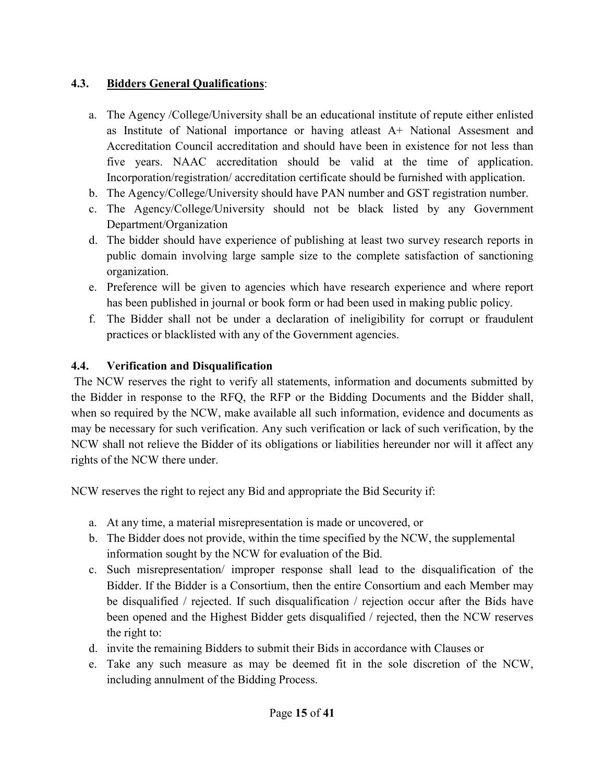## **4.3. Bidders General Qualifications**:

- a. The Agency /College/University shall be an educational institute of repute either enlisted as Institute of National importance or having atleast A+ National Assesment and Accreditation Council accreditation and should have been in existence for not less than five years. NAAC accreditation should be valid at the time of application. Incorporation/registration/ accreditation certificate should be furnished with application.
- b. The Agency/College/University should have PAN number and GST registration number.
- c. The Agency/College/University should not be black listed by any Government Department/Organization
- d. The bidder should have experience of publishing at least two survey research reports in public domain involving large sample size to the complete satisfaction of sanctioning organization.
- e. Preference will be given to agencies which have research experience and where report has been published in journal or book form or had been used in making public policy.
- f. The Bidder shall not be under a declaration of ineligibility for corrupt or fraudulent practices or blacklisted with any of the Government agencies.

# **4.4. Verification and Disqualification**

The NCW reserves the right to verify all statements, information and documents submitted by the Bidder in response to the RFQ, the RFP or the Bidding Documents and the Bidder shall, when so required by the NCW, make available all such information, evidence and documents as may be necessary for such verification. Any such verification or lack of such verification, by the NCW shall not relieve the Bidder of its obligations or liabilities hereunder nor will it affect any rights of the NCW there under.

NCW reserves the right to reject any Bid and appropriate the Bid Security if:

- a. At any time, a material misrepresentation is made or uncovered, or
- b. The Bidder does not provide, within the time specified by the NCW, the supplemental information sought by the NCW for evaluation of the Bid.
- c. Such misrepresentation/ improper response shall lead to the disqualification of the Bidder. If the Bidder is a Consortium, then the entire Consortium and each Member may be disqualified / rejected. If such disqualification / rejection occur after the Bids have been opened and the Highest Bidder gets disqualified / rejected, then the NCW reserves the right to:
- d. invite the remaining Bidders to submit their Bids in accordance with Clauses or
- e. Take any such measure as may be deemed fit in the sole discretion of the NCW, including annulment of the Bidding Process.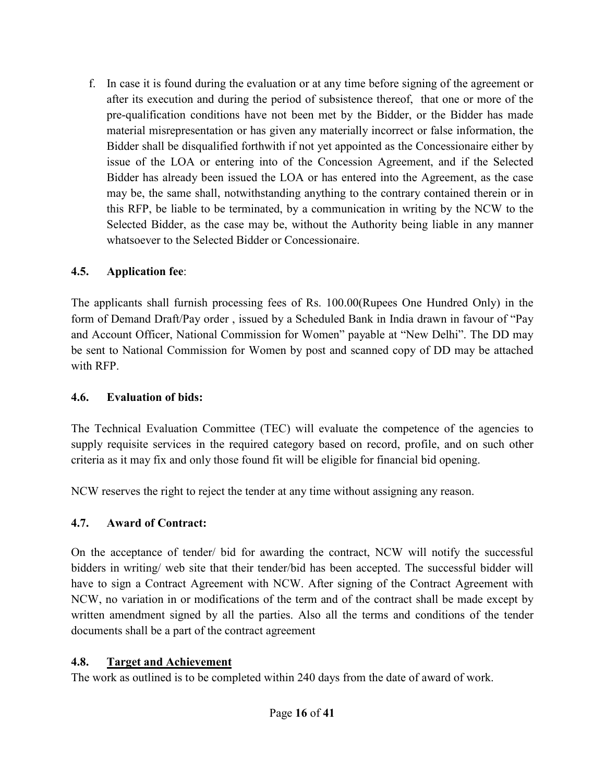f. In case it is found during the evaluation or at any time before signing of the agreement or after its execution and during the period of subsistence thereof, that one or more of the pre-qualification conditions have not been met by the Bidder, or the Bidder has made material misrepresentation or has given any materially incorrect or false information, the Bidder shall be disqualified forthwith if not yet appointed as the Concessionaire either by issue of the LOA or entering into of the Concession Agreement, and if the Selected Bidder has already been issued the LOA or has entered into the Agreement, as the case may be, the same shall, notwithstanding anything to the contrary contained therein or in this RFP, be liable to be terminated, by a communication in writing by the NCW to the Selected Bidder, as the case may be, without the Authority being liable in any manner whatsoever to the Selected Bidder or Concessionaire.

## **4.5. Application fee**:

The applicants shall furnish processing fees of Rs. 100.00(Rupees One Hundred Only) in the form of Demand Draft/Pay order , issued by a Scheduled Bank in India drawn in favour of "Pay and Account Officer, National Commission for Women" payable at "New Delhi". The DD may be sent to National Commission for Women by post and scanned copy of DD may be attached with RFP.

## **4.6. Evaluation of bids:**

The Technical Evaluation Committee (TEC) will evaluate the competence of the agencies to supply requisite services in the required category based on record, profile, and on such other criteria as it may fix and only those found fit will be eligible for financial bid opening.

NCW reserves the right to reject the tender at any time without assigning any reason.

## **4.7. Award of Contract:**

On the acceptance of tender/ bid for awarding the contract, NCW will notify the successful bidders in writing/ web site that their tender/bid has been accepted. The successful bidder will have to sign a Contract Agreement with NCW. After signing of the Contract Agreement with NCW, no variation in or modifications of the term and of the contract shall be made except by written amendment signed by all the parties. Also all the terms and conditions of the tender documents shall be a part of the contract agreement

## **4.8. Target and Achievement**

The work as outlined is to be completed within 240 days from the date of award of work.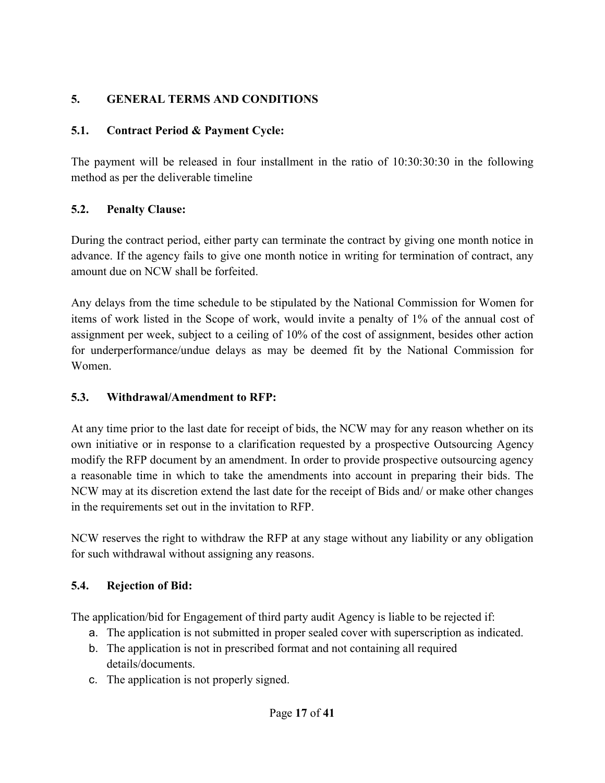# **5. GENERAL TERMS AND CONDITIONS**

# **5.1. Contract Period & Payment Cycle:**

The payment will be released in four installment in the ratio of 10:30:30:30 in the following method as per the deliverable timeline

# **5.2. Penalty Clause:**

During the contract period, either party can terminate the contract by giving one month notice in advance. If the agency fails to give one month notice in writing for termination of contract, any amount due on NCW shall be forfeited.

Any delays from the time schedule to be stipulated by the National Commission for Women for items of work listed in the Scope of work, would invite a penalty of 1% of the annual cost of assignment per week, subject to a ceiling of 10% of the cost of assignment, besides other action for underperformance/undue delays as may be deemed fit by the National Commission for Women.

# **5.3. Withdrawal/Amendment to RFP:**

At any time prior to the last date for receipt of bids, the NCW may for any reason whether on its own initiative or in response to a clarification requested by a prospective Outsourcing Agency modify the RFP document by an amendment. In order to provide prospective outsourcing agency a reasonable time in which to take the amendments into account in preparing their bids. The NCW may at its discretion extend the last date for the receipt of Bids and/ or make other changes in the requirements set out in the invitation to RFP.

NCW reserves the right to withdraw the RFP at any stage without any liability or any obligation for such withdrawal without assigning any reasons.

# **5.4. Rejection of Bid:**

The application/bid for Engagement of third party audit Agency is liable to be rejected if:

- a. The application is not submitted in proper sealed cover with superscription as indicated.
- b. The application is not in prescribed format and not containing all required details/documents.
- c. The application is not properly signed.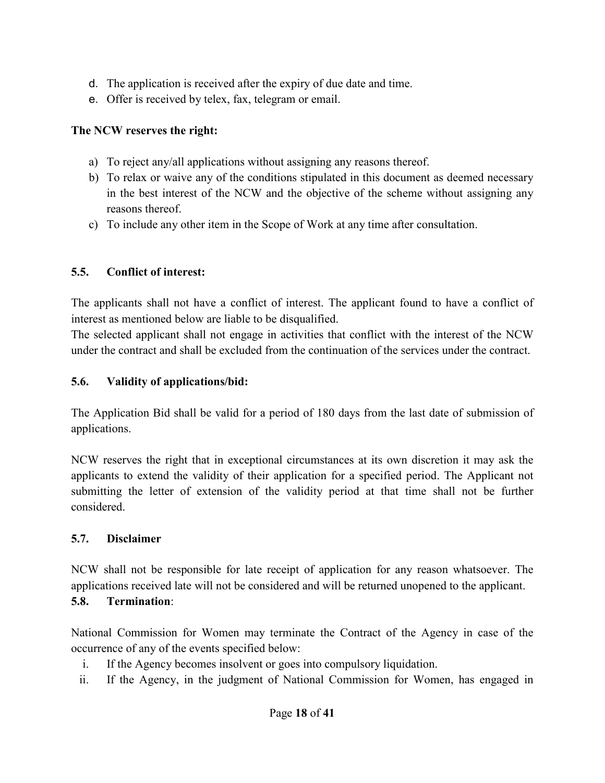- d. The application is received after the expiry of due date and time.
- e. Offer is received by telex, fax, telegram or email.

## **The NCW reserves the right:**

- a) To reject any/all applications without assigning any reasons thereof.
- b) To relax or waive any of the conditions stipulated in this document as deemed necessary in the best interest of the NCW and the objective of the scheme without assigning any reasons thereof.
- c) To include any other item in the Scope of Work at any time after consultation.

## **5.5. Conflict of interest:**

The applicants shall not have a conflict of interest. The applicant found to have a conflict of interest as mentioned below are liable to be disqualified.

The selected applicant shall not engage in activities that conflict with the interest of the NCW under the contract and shall be excluded from the continuation of the services under the contract.

## **5.6. Validity of applications/bid:**

The Application Bid shall be valid for a period of 180 days from the last date of submission of applications.

NCW reserves the right that in exceptional circumstances at its own discretion it may ask the applicants to extend the validity of their application for a specified period. The Applicant not submitting the letter of extension of the validity period at that time shall not be further considered.

## **5.7. Disclaimer**

NCW shall not be responsible for late receipt of application for any reason whatsoever. The applications received late will not be considered and will be returned unopened to the applicant.

# **5.8. Termination**:

National Commission for Women may terminate the Contract of the Agency in case of the occurrence of any of the events specified below:

- i. If the Agency becomes insolvent or goes into compulsory liquidation.
- ii. If the Agency, in the judgment of National Commission for Women, has engaged in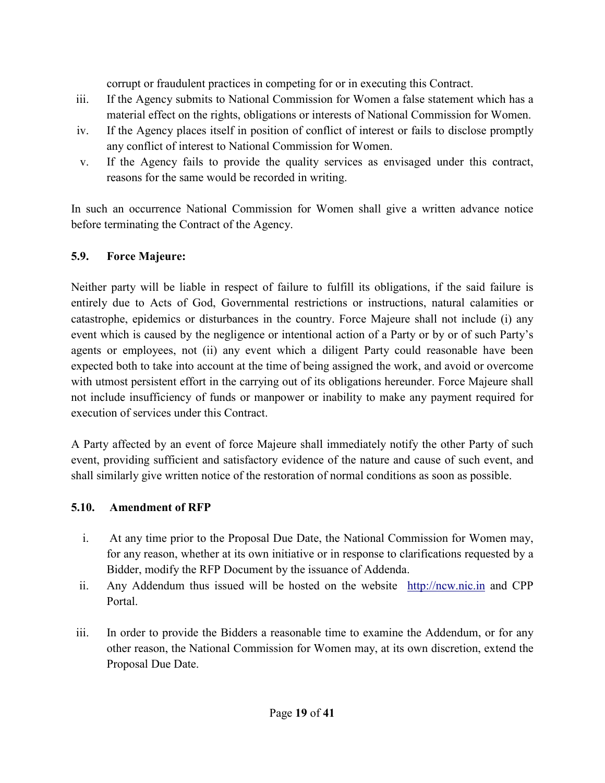corrupt or fraudulent practices in competing for or in executing this Contract.

- iii. If the Agency submits to National Commission for Women a false statement which has a material effect on the rights, obligations or interests of National Commission for Women.
- iv. If the Agency places itself in position of conflict of interest or fails to disclose promptly any conflict of interest to National Commission for Women.
- v. If the Agency fails to provide the quality services as envisaged under this contract, reasons for the same would be recorded in writing.

In such an occurrence National Commission for Women shall give a written advance notice before terminating the Contract of the Agency.

## **5.9. Force Majeure:**

Neither party will be liable in respect of failure to fulfill its obligations, if the said failure is entirely due to Acts of God, Governmental restrictions or instructions, natural calamities or catastrophe, epidemics or disturbances in the country. Force Majeure shall not include (i) any event which is caused by the negligence or intentional action of a Party or by or of such Party's agents or employees, not (ii) any event which a diligent Party could reasonable have been expected both to take into account at the time of being assigned the work, and avoid or overcome with utmost persistent effort in the carrying out of its obligations hereunder. Force Majeure shall not include insufficiency of funds or manpower or inability to make any payment required for execution of services under this Contract.

A Party affected by an event of force Majeure shall immediately notify the other Party of such event, providing sufficient and satisfactory evidence of the nature and cause of such event, and shall similarly give written notice of the restoration of normal conditions as soon as possible.

## **5.10. Amendment of RFP**

- i. At any time prior to the Proposal Due Date, the National Commission for Women may, for any reason, whether at its own initiative or in response to clarifications requested by a Bidder, modify the RFP Document by the issuance of Addenda.
- ii. Any Addendum thus issued will be hosted on the website http://ncw.nic.in and CPP Portal.
- iii. In order to provide the Bidders a reasonable time to examine the Addendum, or for any other reason, the National Commission for Women may, at its own discretion, extend the Proposal Due Date.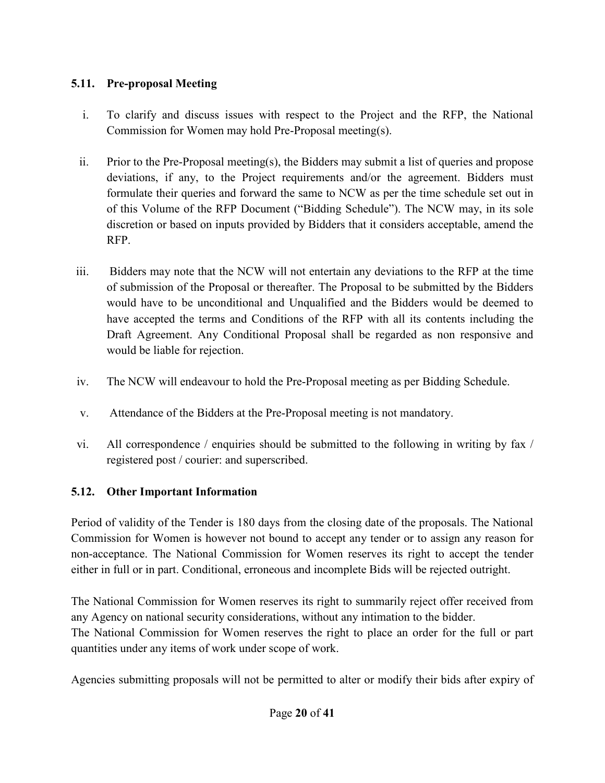# **5.11. Pre-proposal Meeting**

- i. To clarify and discuss issues with respect to the Project and the RFP, the National Commission for Women may hold Pre-Proposal meeting(s).
- ii. Prior to the Pre-Proposal meeting(s), the Bidders may submit a list of queries and propose deviations, if any, to the Project requirements and/or the agreement. Bidders must formulate their queries and forward the same to NCW as per the time schedule set out in of this Volume of the RFP Document ("Bidding Schedule"). The NCW may, in its sole discretion or based on inputs provided by Bidders that it considers acceptable, amend the RFP.
- iii. Bidders may note that the NCW will not entertain any deviations to the RFP at the time of submission of the Proposal or thereafter. The Proposal to be submitted by the Bidders would have to be unconditional and Unqualified and the Bidders would be deemed to have accepted the terms and Conditions of the RFP with all its contents including the Draft Agreement. Any Conditional Proposal shall be regarded as non responsive and would be liable for rejection.
- iv. The NCW will endeavour to hold the Pre-Proposal meeting as per Bidding Schedule.
- v. Attendance of the Bidders at the Pre-Proposal meeting is not mandatory.
- vi. All correspondence / enquiries should be submitted to the following in writing by fax / registered post / courier: and superscribed.

## **5.12. Other Important Information**

Period of validity of the Tender is 180 days from the closing date of the proposals. The National Commission for Women is however not bound to accept any tender or to assign any reason for non-acceptance. The National Commission for Women reserves its right to accept the tender either in full or in part. Conditional, erroneous and incomplete Bids will be rejected outright.

The National Commission for Women reserves its right to summarily reject offer received from any Agency on national security considerations, without any intimation to the bidder. The National Commission for Women reserves the right to place an order for the full or part quantities under any items of work under scope of work.

Agencies submitting proposals will not be permitted to alter or modify their bids after expiry of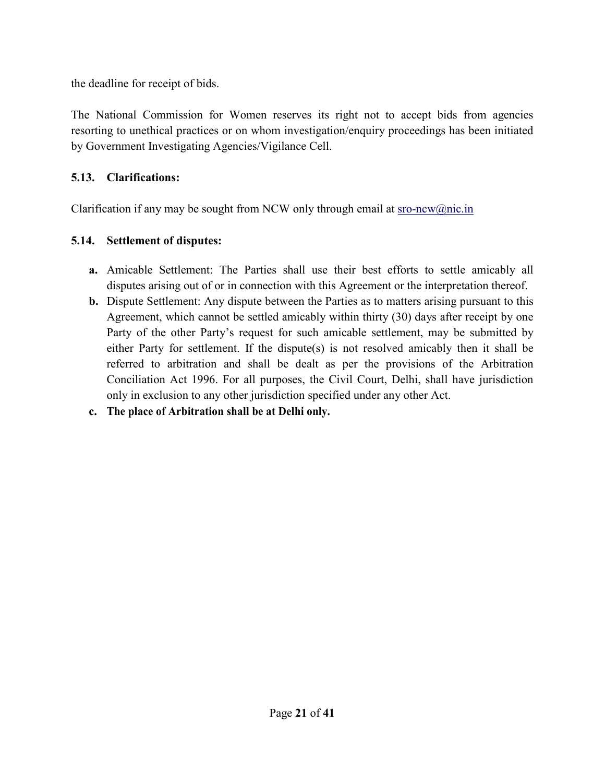the deadline for receipt of bids.

The National Commission for Women reserves its right not to accept bids from agencies resorting to unethical practices or on whom investigation/enquiry proceedings has been initiated by Government Investigating Agencies/Vigilance Cell.

## **5.13. Clarifications:**

Clarification if any may be sought from NCW only through email at  $sro-ncw@nic.in$ 

## **5.14. Settlement of disputes:**

- **a.** Amicable Settlement: The Parties shall use their best efforts to settle amicably all disputes arising out of or in connection with this Agreement or the interpretation thereof.
- **b.** Dispute Settlement: Any dispute between the Parties as to matters arising pursuant to this Agreement, which cannot be settled amicably within thirty (30) days after receipt by one Party of the other Party's request for such amicable settlement, may be submitted by either Party for settlement. If the dispute(s) is not resolved amicably then it shall be referred to arbitration and shall be dealt as per the provisions of the Arbitration Conciliation Act 1996. For all purposes, the Civil Court, Delhi, shall have jurisdiction only in exclusion to any other jurisdiction specified under any other Act.
- **c. The place of Arbitration shall be at Delhi only.**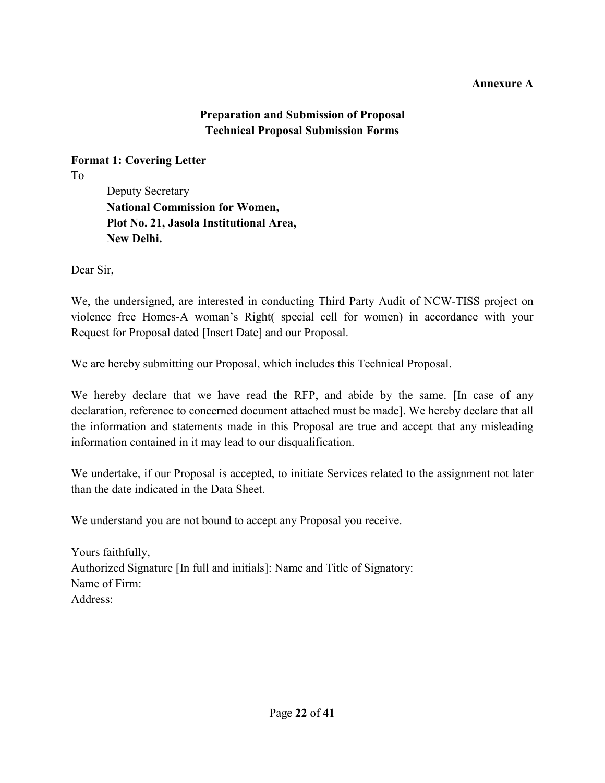## **Annexure A**

## **Preparation and Submission of Proposal Technical Proposal Submission Forms**

**Format 1: Covering Letter**  To

Deputy Secretary **National Commission for Women, Plot No. 21, Jasola Institutional Area, New Delhi.**

Dear Sir,

We, the undersigned, are interested in conducting Third Party Audit of NCW-TISS project on violence free Homes-A woman's Right( special cell for women) in accordance with your Request for Proposal dated [Insert Date] and our Proposal.

We are hereby submitting our Proposal, which includes this Technical Proposal.

We hereby declare that we have read the RFP, and abide by the same. [In case of any declaration, reference to concerned document attached must be made]. We hereby declare that all the information and statements made in this Proposal are true and accept that any misleading information contained in it may lead to our disqualification.

We undertake, if our Proposal is accepted, to initiate Services related to the assignment not later than the date indicated in the Data Sheet.

We understand you are not bound to accept any Proposal you receive.

Yours faithfully, Authorized Signature [In full and initials]: Name and Title of Signatory: Name of Firm: Address: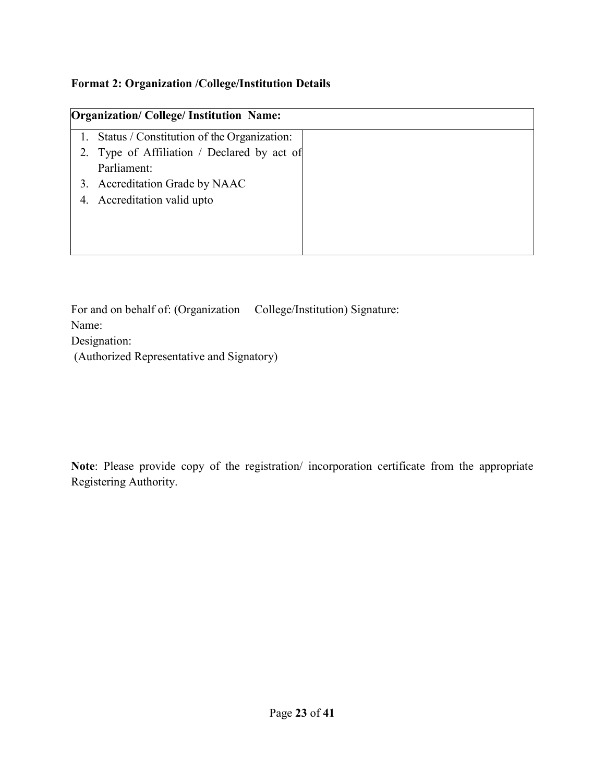## **Format 2: Organization /College/Institution Details**

| <b>Organization/College/Institution Name:</b> |  |
|-----------------------------------------------|--|
| Status / Constitution of the Organization:    |  |
| 2. Type of Affiliation / Declared by act of   |  |
| Parliament:                                   |  |
| 3. Accreditation Grade by NAAC                |  |
| 4. Accreditation valid upto                   |  |
|                                               |  |
|                                               |  |
|                                               |  |

For and on behalf of: (Organization College/Institution) Signature: Name: Designation: (Authorized Representative and Signatory)

**Note**: Please provide copy of the registration/ incorporation certificate from the appropriate Registering Authority.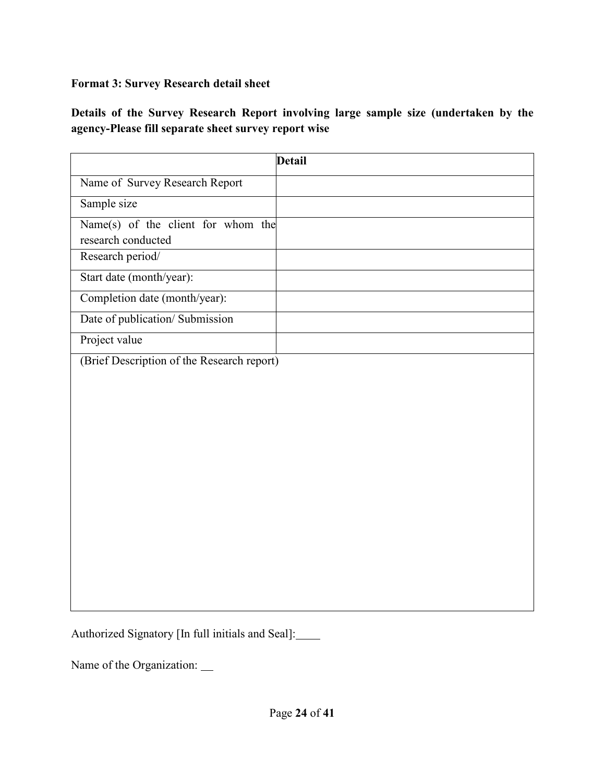# **Format 3: Survey Research detail sheet**

**Details of the Survey Research Report involving large sample size (undertaken by the agency-Please fill separate sheet survey report wise** 

|                                                          | <b>Detail</b> |
|----------------------------------------------------------|---------------|
| Name of Survey Research Report                           |               |
| Sample size                                              |               |
| Name(s) of the client for whom the<br>research conducted |               |
| Research period/                                         |               |
| Start date (month/year):                                 |               |
| Completion date (month/year):                            |               |
| Date of publication/ Submission                          |               |
| Project value                                            |               |
| (Brief Description of the Research report)               |               |

Authorized Signatory [In full initials and Seal]:

Name of the Organization: \_\_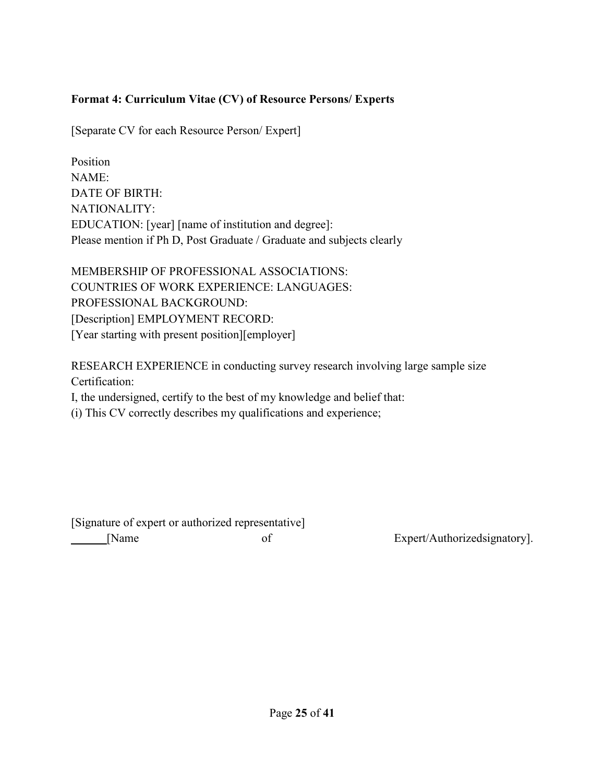## **Format 4: Curriculum Vitae (CV) of Resource Persons/ Experts**

[Separate CV for each Resource Person/ Expert]

Position NAME: DATE OF BIRTH: NATIONALITY: EDUCATION: [year] [name of institution and degree]: Please mention if Ph D, Post Graduate / Graduate and subjects clearly

MEMBERSHIP OF PROFESSIONAL ASSOCIATIONS: COUNTRIES OF WORK EXPERIENCE: LANGUAGES: PROFESSIONAL BACKGROUND: [Description] EMPLOYMENT RECORD: [Year starting with present position][employer]

RESEARCH EXPERIENCE in conducting survey research involving large sample size Certification:

I, the undersigned, certify to the best of my knowledge and belief that:

(i) This CV correctly describes my qualifications and experience;

[Signature of expert or authorized representative] [Name of Gradual Content] [Name of Expert/Authorizedsignatory].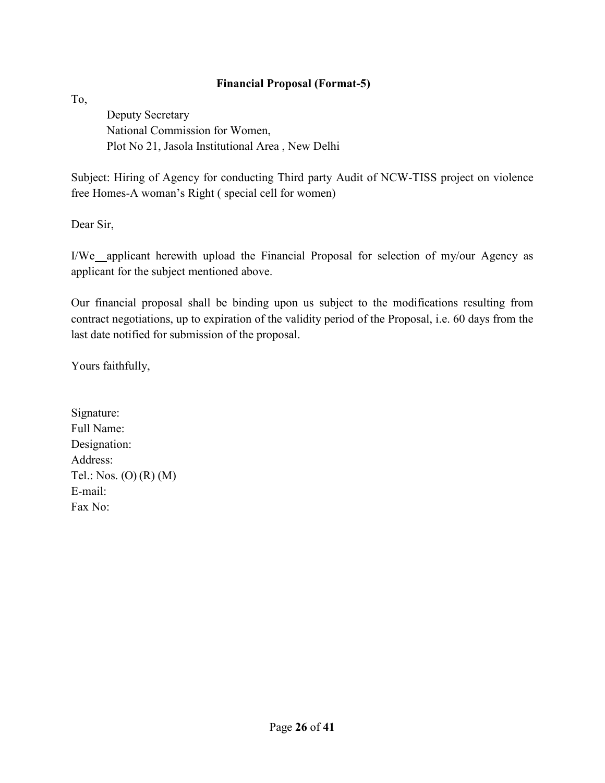## **Financial Proposal (Format-5)**

To,

Deputy Secretary National Commission for Women, Plot No 21, Jasola Institutional Area , New Delhi

Subject: Hiring of Agency for conducting Third party Audit of NCW-TISS project on violence free Homes-A woman's Right ( special cell for women)

Dear Sir,

I/We applicant herewith upload the Financial Proposal for selection of my/our Agency as applicant for the subject mentioned above.

Our financial proposal shall be binding upon us subject to the modifications resulting from contract negotiations, up to expiration of the validity period of the Proposal, i.e. 60 days from the last date notified for submission of the proposal.

Yours faithfully,

Signature: Full Name: Designation: Address: Tel.: Nos. (O) (R) (M) E-mail: Fax No: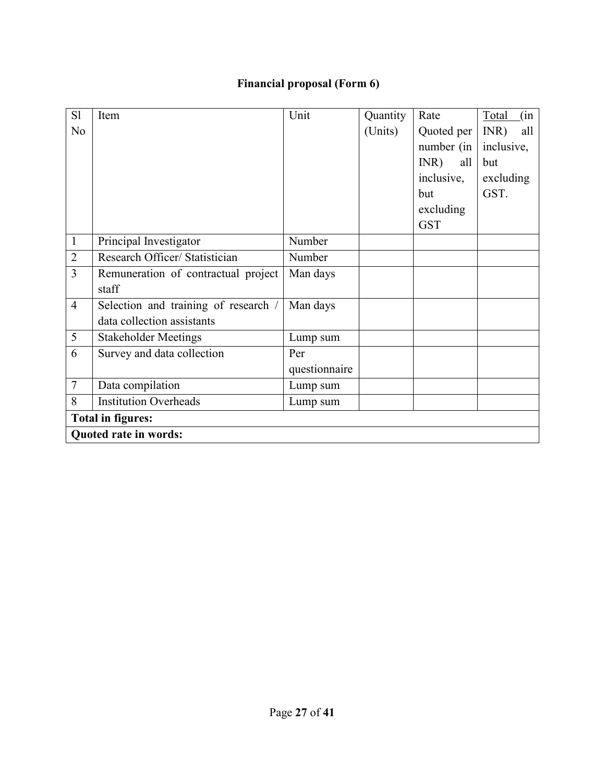# **Financial proposal (Form 6)**

| S1             | Item                                 | Unit          | Quantity | Rate        | (in<br>Total |  |
|----------------|--------------------------------------|---------------|----------|-------------|--------------|--|
| No             |                                      |               | (Units)  | Quoted per  | INR)<br>all  |  |
|                |                                      |               |          | number (in  | inclusive,   |  |
|                |                                      |               |          | INR)<br>all | but          |  |
|                |                                      |               |          | inclusive,  | excluding    |  |
|                |                                      |               |          | but         | GST.         |  |
|                |                                      |               |          | excluding   |              |  |
|                |                                      |               |          | <b>GST</b>  |              |  |
| $\mathbf{1}$   | Principal Investigator               | Number        |          |             |              |  |
| $\overline{2}$ | Research Officer/ Statistician       | Number        |          |             |              |  |
| 3              | Remuneration of contractual project  | Man days      |          |             |              |  |
|                | staff                                |               |          |             |              |  |
| $\overline{4}$ | Selection and training of research / | Man days      |          |             |              |  |
|                | data collection assistants           |               |          |             |              |  |
| 5              | <b>Stakeholder Meetings</b>          | Lump sum      |          |             |              |  |
| 6              | Survey and data collection           | Per           |          |             |              |  |
|                |                                      | questionnaire |          |             |              |  |
| $\tau$         | Data compilation                     | Lump sum      |          |             |              |  |
| 8              | <b>Institution Overheads</b>         | Lump sum      |          |             |              |  |
|                | <b>Total in figures:</b>             |               |          |             |              |  |
|                | <b>Quoted rate in words:</b>         |               |          |             |              |  |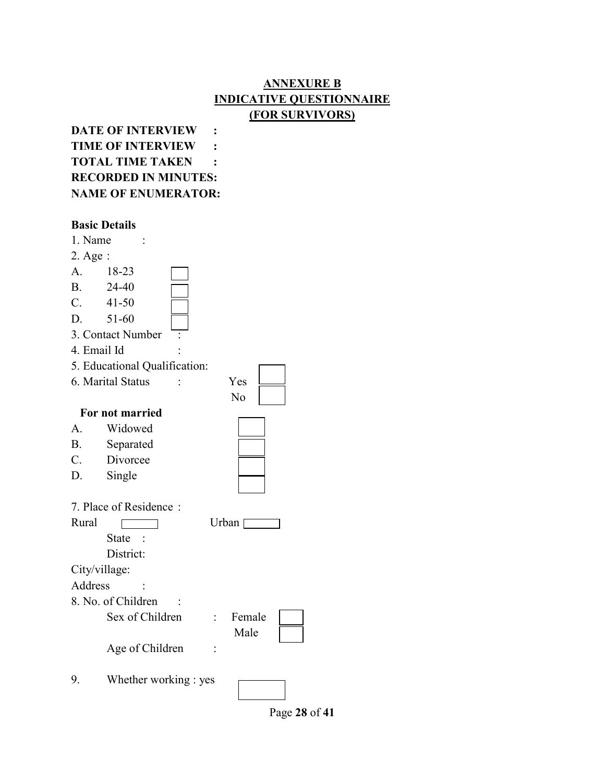## **ANNEXURE B INDICATIVE QUESTIONNAIRE (FOR SURVIVORS)**

**DATE OF INTERVIEW : TIME OF INTERVIEW : TOTAL TIME TAKEN : RECORDED IN MINUTES: NAME OF ENUMERATOR:** 

#### **Basic Details**

| 1. Name       |                               |  |
|---------------|-------------------------------|--|
| 2. Age :      |                               |  |
| A.            | 18-23                         |  |
| B.            | 24-40                         |  |
| C.            | $41 - 50$                     |  |
| D.            | 51-60                         |  |
|               | 3. Contact Number             |  |
| 4. Email Id   |                               |  |
|               | 5. Educational Qualification: |  |
|               | 6. Marital Status<br>Yes      |  |
|               | No                            |  |
|               | For not married               |  |
| A.            | Widowed                       |  |
| <b>B.</b>     | Separated                     |  |
| C.            | Divorcee                      |  |
| D.            | Single                        |  |
|               | 7. Place of Residence:        |  |
| Rural         | Urban [                       |  |
|               | <b>State</b>                  |  |
|               | District:                     |  |
| City/village: |                               |  |
| Address       |                               |  |
|               | 8. No. of Children            |  |
|               | Sex of Children<br>Female     |  |
|               | Male                          |  |
|               | Age of Children               |  |
| 9.            | Whether working : yes         |  |

Page **28** of **41**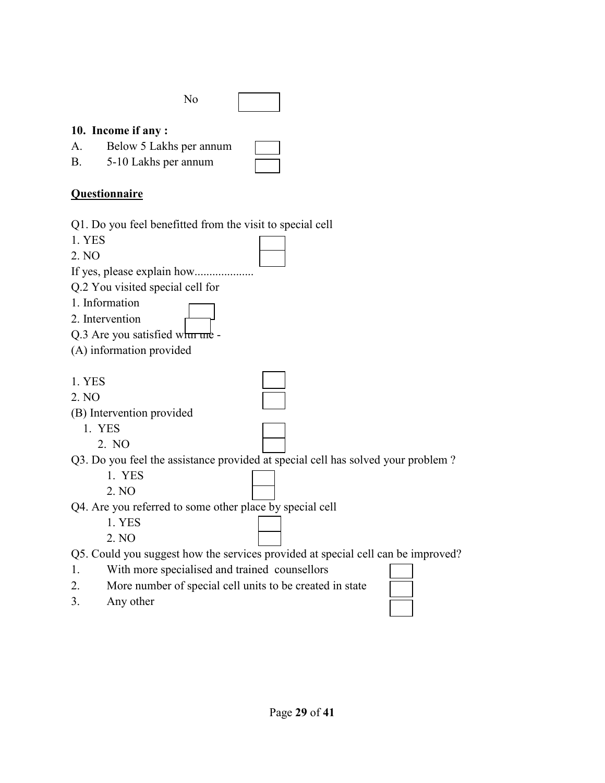|               |               | No |  |
|---------------|---------------|----|--|
| $\sim$ $\sim$ | $\sim$ $\sim$ |    |  |

## **10. Income if any :**

| A. | Below 5 Lakhs per annum |  |
|----|-------------------------|--|
|    | $5.10$ J oka non annum  |  |

B. 5-10 Lakhs per annum

# **Questionnaire**

Q1. Do you feel benefitted from the visit to special cell

1. YES

2. NO

If yes, please explain how.................... Q.2 You visited special cell for

- 1. Information
- 2. Intervention
- Q.3 Are you satisfied when  $\mathbf{m}$  -
- (A) information provided

1. YES

2. NO

(B) Intervention provided

- 1. YES
	- 2. NO

Q3. Do you feel the assistance provided at special cell has solved your problem ?

- 1. YES
- 2. NO

Q4. Are you referred to some other place by special cell

1. YES

2. NO

Q5. Could you suggest how the services provided at special cell can be improved?

- 1. With more specialised and trained counsellors
- 2. More number of special cell units to be created in state
- 3. Any other

| L. | u | ı |
|----|---|---|
|    |   |   |
|    |   |   |
|    |   |   |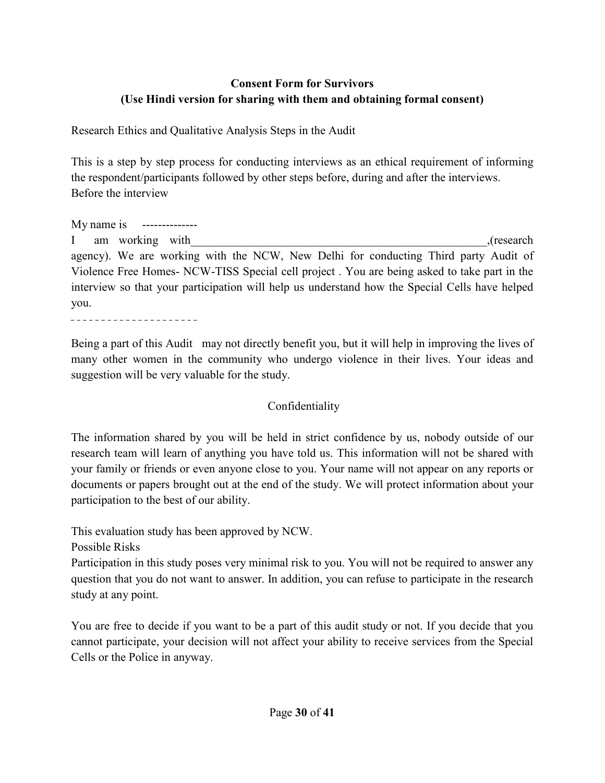## **Consent Form for Survivors (Use Hindi version for sharing with them and obtaining formal consent)**

Research Ethics and Qualitative Analysis Steps in the Audit

This is a step by step process for conducting interviews as an ethical requirement of informing the respondent/participants followed by other steps before, during and after the interviews. Before the interview

My name is -------------- I am working with (research). agency). We are working with the NCW, New Delhi for conducting Third party Audit of Violence Free Homes- NCW-TISS Special cell project . You are being asked to take part in the interview so that your participation will help us understand how the Special Cells have helped you.

---------------------

Being a part of this Audit may not directly benefit you, but it will help in improving the lives of many other women in the community who undergo violence in their lives. Your ideas and suggestion will be very valuable for the study.

## Confidentiality

The information shared by you will be held in strict confidence by us, nobody outside of our research team will learn of anything you have told us. This information will not be shared with your family or friends or even anyone close to you. Your name will not appear on any reports or documents or papers brought out at the end of the study. We will protect information about your participation to the best of our ability.

This evaluation study has been approved by NCW.

Possible Risks

Participation in this study poses very minimal risk to you. You will not be required to answer any question that you do not want to answer. In addition, you can refuse to participate in the research study at any point.

You are free to decide if you want to be a part of this audit study or not. If you decide that you cannot participate, your decision will not affect your ability to receive services from the Special Cells or the Police in anyway.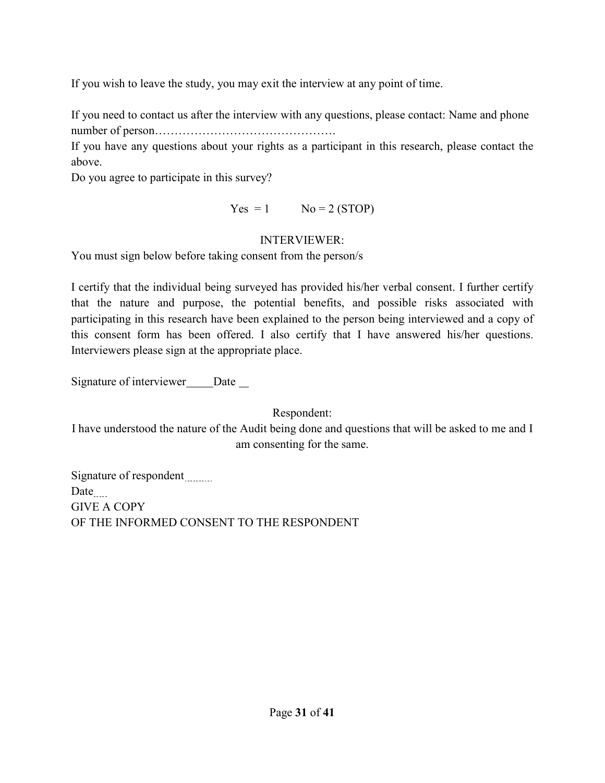If you wish to leave the study, you may exit the interview at any point of time.

If you need to contact us after the interview with any questions, please contact: Name and phone number of person……………………………………….

If you have any questions about your rights as a participant in this research, please contact the above.

Do you agree to participate in this survey?

 $Yes = 1$   $No = 2 (STOP)$ 

#### INTERVIEWER:

You must sign below before taking consent from the person/s

I certify that the individual being surveyed has provided his/her verbal consent. I further certify that the nature and purpose, the potential benefits, and possible risks associated with participating in this research have been explained to the person being interviewed and a copy of this consent form has been offered. I also certify that I have answered his/her questions. Interviewers please sign at the appropriate place.

Signature of interviewer Date

Respondent:

I have understood the nature of the Audit being done and questions that will be asked to me and I am consenting for the same.

Signature of respondent Date GIVE A COPY OF THE INFORMED CONSENT TO THE RESPONDENT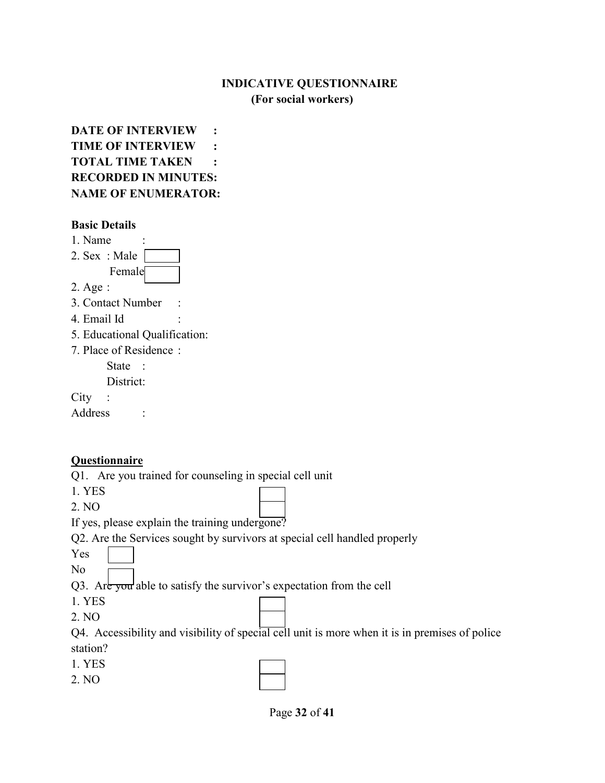## **INDICATIVE QUESTIONNAIRE (For social workers)**

**DATE OF INTERVIEW : TIME OF INTERVIEW : TOTAL TIME TAKEN : RECORDED IN MINUTES: NAME OF ENUMERATOR:** 

#### **Basic Details**

| 1. Name                       |  |  |
|-------------------------------|--|--|
| 2. Sex: Male                  |  |  |
| Female                        |  |  |
| $2. \text{Age}:$              |  |  |
| 3. Contact Number             |  |  |
| 4. Email Id                   |  |  |
| 5. Educational Qualification: |  |  |
| 7. Place of Residence:        |  |  |
| State :                       |  |  |
| District:                     |  |  |
| City                          |  |  |
| Address                       |  |  |

## **Questionnaire**

Q1. Are you trained for counseling in special cell unit

1. YES

2. NO

If yes, please explain the training undergone?

Q2. Are the Services sought by survivors at special cell handled properly

Yes

No

Q3. Are you able to satisfy the survivor's expectation from the cell

1. YES

2. NO

Q4. Accessibility and visibility of special cell unit is more when it is in premises of police station?

1. YES

2. NO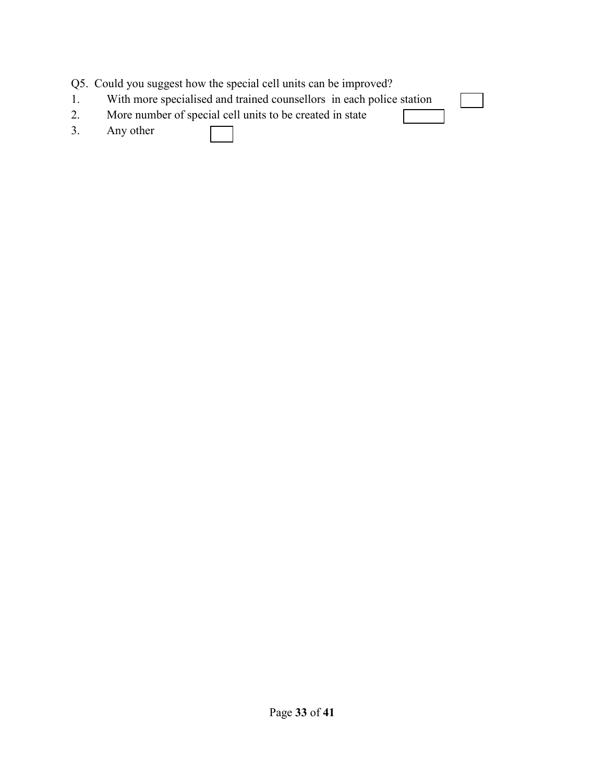|    | Q5. Could you suggest how the special cell units can be improved?    |  |
|----|----------------------------------------------------------------------|--|
| 1. | With more specialised and trained counsellors in each police station |  |
| 2. | More number of special cell units to be created in state             |  |
| 3. | Any other                                                            |  |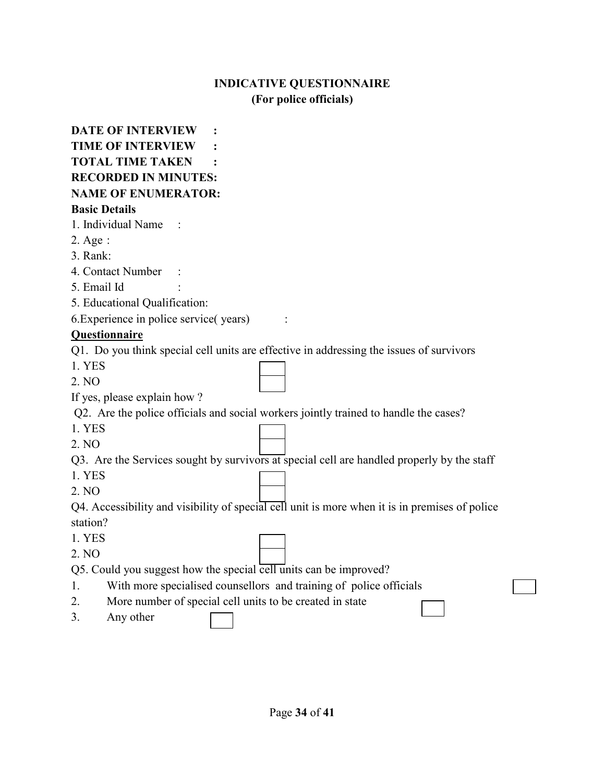## **INDICATIVE QUESTIONNAIRE (For police officials)**

|                      | <b>DATE OF INTERVIEW</b>                                                                       |
|----------------------|------------------------------------------------------------------------------------------------|
|                      | <b>TIME OF INTERVIEW</b>                                                                       |
|                      | <b>TOTAL TIME TAKEN</b>                                                                        |
|                      | <b>RECORDED IN MINUTES:</b>                                                                    |
|                      | <b>NAME OF ENUMERATOR:</b>                                                                     |
| <b>Basic Details</b> |                                                                                                |
|                      | 1. Individual Name                                                                             |
| $2. \text{Age}:$     |                                                                                                |
| 3. Rank:             |                                                                                                |
|                      | 4. Contact Number                                                                              |
| 5. Email Id          |                                                                                                |
|                      | 5. Educational Qualification:                                                                  |
|                      | 6. Experience in police service (years)                                                        |
|                      | Questionnaire                                                                                  |
|                      | Q1. Do you think special cell units are effective in addressing the issues of survivors        |
| 1. YES               |                                                                                                |
| 2. NO                |                                                                                                |
|                      | If yes, please explain how?                                                                    |
|                      | Q2. Are the police officials and social workers jointly trained to handle the cases?           |
| 1. YES               |                                                                                                |
| 2. NO                |                                                                                                |
|                      | Q3. Are the Services sought by survivors at special cell are handled properly by the staff     |
| 1. YES               |                                                                                                |
| 2. NO                |                                                                                                |
|                      | Q4. Accessibility and visibility of special cell unit is more when it is in premises of police |
| station?             |                                                                                                |
| 1. YES               |                                                                                                |
| 2. NO                |                                                                                                |
|                      | Q5. Could you suggest how the special cell units can be improved?                              |
| 1.                   | With more specialised counsellors and training of police officials                             |
| 2.                   | More number of special cell units to be created in state                                       |
| 3.                   | Any other                                                                                      |
|                      |                                                                                                |
|                      |                                                                                                |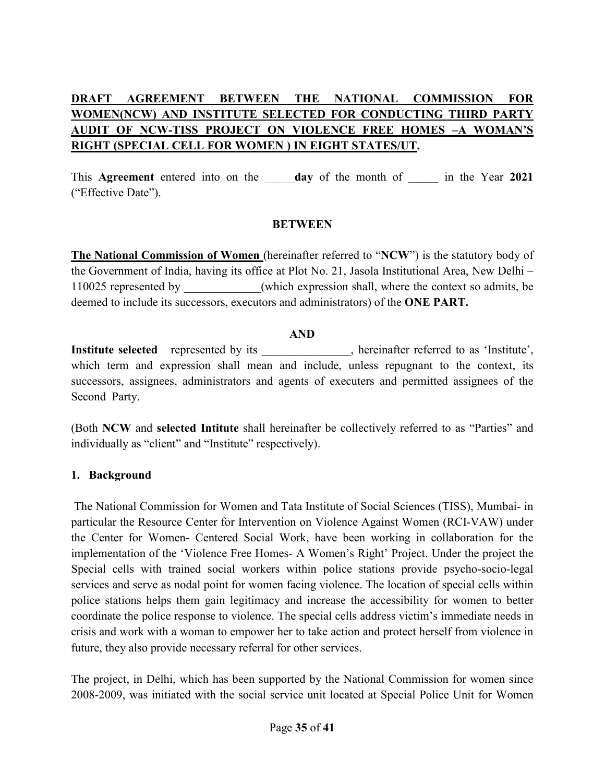# **DRAFT AGREEMENT BETWEEN THE NATIONAL COMMISSION FOR WOMEN(NCW) AND INSTITUTE SELECTED FOR CONDUCTING THIRD PARTY AUDIT OF NCW-TISS PROJECT ON VIOLENCE FREE HOMES –A WOMAN'S RIGHT (SPECIAL CELL FOR WOMEN ) IN EIGHT STATES/UT.**

This **Agreement** entered into on the \_\_\_\_\_**day** of the month of **\_\_\_\_\_** in the Year **2021** ("Effective Date").

#### **BETWEEN**

**The National Commission of Women** (hereinafter referred to "**NCW**") is the statutory body of the Government of India, having its office at Plot No. 21, Jasola Institutional Area, New Delhi – 110025 represented by which expression shall, where the context so admits, be deemed to include its successors, executors and administrators) of the **ONE PART.** 

#### **AND**

Institute selected represented by its \_\_\_\_\_\_\_\_\_\_\_, hereinafter referred to as 'Institute', which term and expression shall mean and include, unless repugnant to the context, its successors, assignees, administrators and agents of executers and permitted assignees of the Second Party.

(Both **NCW** and **selected Intitute** shall hereinafter be collectively referred to as "Parties" and individually as "client" and "Institute" respectively).

#### **1. Background**

 The National Commission for Women and Tata Institute of Social Sciences (TISS), Mumbai- in particular the Resource Center for Intervention on Violence Against Women (RCI-VAW) under the Center for Women- Centered Social Work, have been working in collaboration for the implementation of the 'Violence Free Homes- A Women's Right' Project. Under the project the Special cells with trained social workers within police stations provide psycho-socio-legal services and serve as nodal point for women facing violence. The location of special cells within police stations helps them gain legitimacy and increase the accessibility for women to better coordinate the police response to violence. The special cells address victim's immediate needs in crisis and work with a woman to empower her to take action and protect herself from violence in future, they also provide necessary referral for other services.

The project, in Delhi, which has been supported by the National Commission for women since 2008-2009, was initiated with the social service unit located at Special Police Unit for Women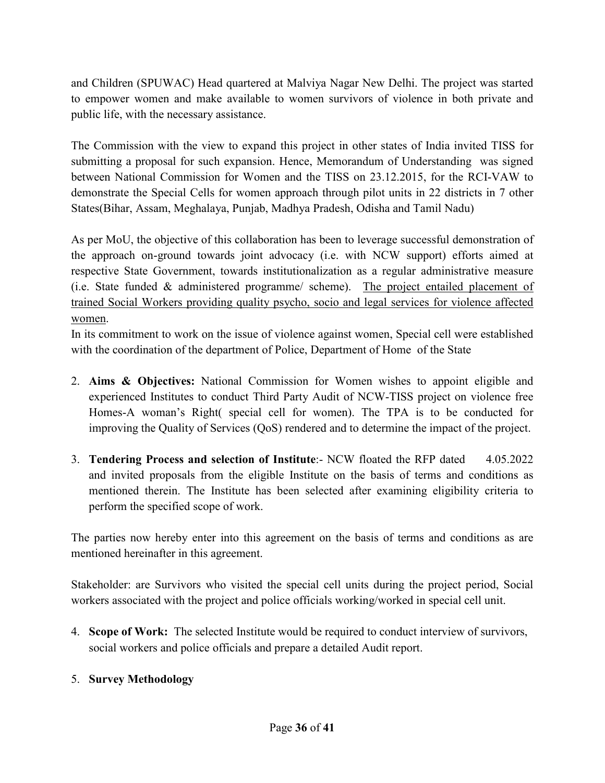and Children (SPUWAC) Head quartered at Malviya Nagar New Delhi. The project was started to empower women and make available to women survivors of violence in both private and public life, with the necessary assistance.

The Commission with the view to expand this project in other states of India invited TISS for submitting a proposal for such expansion. Hence, Memorandum of Understanding was signed between National Commission for Women and the TISS on 23.12.2015, for the RCI-VAW to demonstrate the Special Cells for women approach through pilot units in 22 districts in 7 other States(Bihar, Assam, Meghalaya, Punjab, Madhya Pradesh, Odisha and Tamil Nadu)

As per MoU, the objective of this collaboration has been to leverage successful demonstration of the approach on-ground towards joint advocacy (i.e. with NCW support) efforts aimed at respective State Government, towards institutionalization as a regular administrative measure (i.e. State funded & administered programme/ scheme). The project entailed placement of trained Social Workers providing quality psycho, socio and legal services for violence affected women.

In its commitment to work on the issue of violence against women, Special cell were established with the coordination of the department of Police, Department of Home of the State

- 2. **Aims & Objectives:** National Commission for Women wishes to appoint eligible and experienced Institutes to conduct Third Party Audit of NCW-TISS project on violence free Homes-A woman's Right( special cell for women). The TPA is to be conducted for improving the Quality of Services (QoS) rendered and to determine the impact of the project.
- 3. **Tendering Process and selection of Institute**:- NCW floated the RFP dated 4.05.2022 and invited proposals from the eligible Institute on the basis of terms and conditions as mentioned therein. The Institute has been selected after examining eligibility criteria to perform the specified scope of work.

The parties now hereby enter into this agreement on the basis of terms and conditions as are mentioned hereinafter in this agreement.

Stakeholder: are Survivors who visited the special cell units during the project period, Social workers associated with the project and police officials working/worked in special cell unit.

4. **Scope of Work:** The selected Institute would be required to conduct interview of survivors, social workers and police officials and prepare a detailed Audit report.

## 5. **Survey Methodology**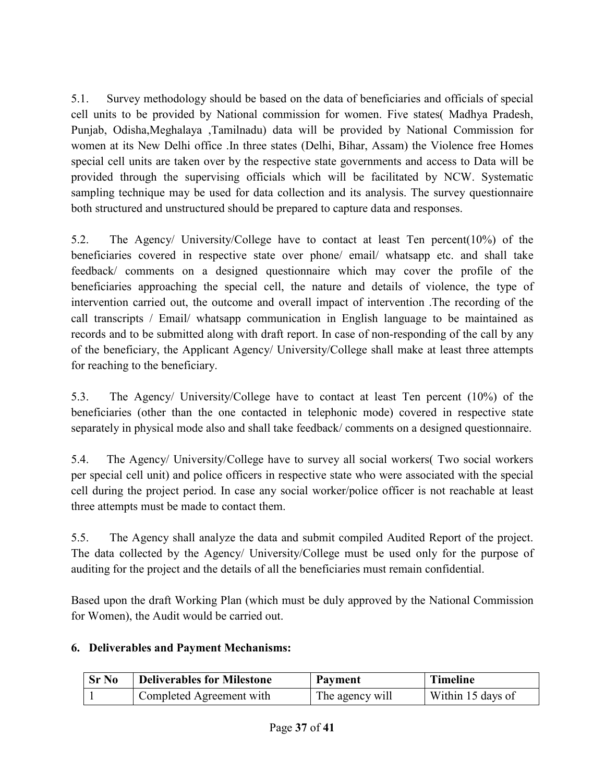5.1. Survey methodology should be based on the data of beneficiaries and officials of special cell units to be provided by National commission for women. Five states( Madhya Pradesh, Punjab, Odisha,Meghalaya ,Tamilnadu) data will be provided by National Commission for women at its New Delhi office .In three states (Delhi, Bihar, Assam) the Violence free Homes special cell units are taken over by the respective state governments and access to Data will be provided through the supervising officials which will be facilitated by NCW. Systematic sampling technique may be used for data collection and its analysis. The survey questionnaire both structured and unstructured should be prepared to capture data and responses.

5.2. The Agency/ University/College have to contact at least Ten percent(10%) of the beneficiaries covered in respective state over phone/ email/ whatsapp etc. and shall take feedback/ comments on a designed questionnaire which may cover the profile of the beneficiaries approaching the special cell, the nature and details of violence, the type of intervention carried out, the outcome and overall impact of intervention .The recording of the call transcripts / Email/ whatsapp communication in English language to be maintained as records and to be submitted along with draft report. In case of non-responding of the call by any of the beneficiary, the Applicant Agency/ University/College shall make at least three attempts for reaching to the beneficiary.

5.3. The Agency/ University/College have to contact at least Ten percent (10%) of the beneficiaries (other than the one contacted in telephonic mode) covered in respective state separately in physical mode also and shall take feedback/ comments on a designed questionnaire.

5.4. The Agency/ University/College have to survey all social workers( Two social workers per special cell unit) and police officers in respective state who were associated with the special cell during the project period. In case any social worker/police officer is not reachable at least three attempts must be made to contact them.

5.5. The Agency shall analyze the data and submit compiled Audited Report of the project. The data collected by the Agency/ University/College must be used only for the purpose of auditing for the project and the details of all the beneficiaries must remain confidential.

Based upon the draft Working Plan (which must be duly approved by the National Commission for Women), the Audit would be carried out.

## **6. Deliverables and Payment Mechanisms:**

| <b>Sr No</b> | <b>Deliverables for Milestone</b> | Payment         | <b>Timeline</b>   |
|--------------|-----------------------------------|-----------------|-------------------|
|              | Completed Agreement with          | The agency will | Within 15 days of |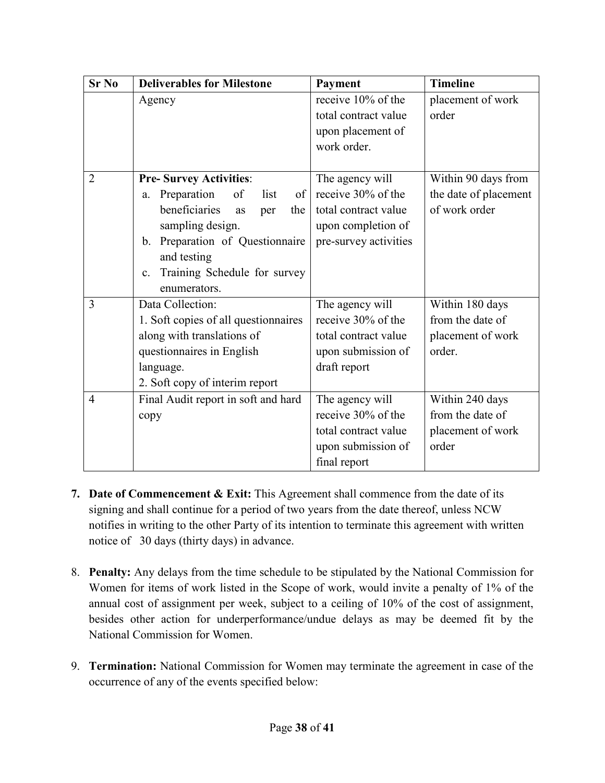| <b>Sr No</b>   | <b>Deliverables for Milestone</b>              | Payment               | <b>Timeline</b>       |
|----------------|------------------------------------------------|-----------------------|-----------------------|
|                | Agency                                         | receive 10% of the    | placement of work     |
|                |                                                | total contract value  | order                 |
|                |                                                | upon placement of     |                       |
|                |                                                | work order.           |                       |
|                |                                                |                       |                       |
| $\overline{2}$ | <b>Pre-Survey Activities:</b>                  | The agency will       | Within 90 days from   |
|                | Preparation<br>of<br>list<br>of<br>a.          | receive 30% of the    | the date of placement |
|                | beneficiaries<br>the<br>as<br>per              | total contract value  | of work order         |
|                | sampling design.                               | upon completion of    |                       |
|                | Preparation of Questionnaire<br>$\mathbf{b}$ . | pre-survey activities |                       |
|                | and testing                                    |                       |                       |
|                | Training Schedule for survey<br>c.             |                       |                       |
|                | enumerators.                                   |                       |                       |
| 3              | Data Collection:                               | The agency will       | Within 180 days       |
|                | 1. Soft copies of all questionnaires           | receive 30% of the    | from the date of      |
|                | along with translations of                     | total contract value  | placement of work     |
|                | questionnaires in English                      | upon submission of    | order.                |
|                | language.                                      | draft report          |                       |
|                | 2. Soft copy of interim report                 |                       |                       |
| $\overline{4}$ | Final Audit report in soft and hard            | The agency will       | Within 240 days       |
|                | copy                                           | receive 30% of the    | from the date of      |
|                |                                                | total contract value  | placement of work     |
|                |                                                | upon submission of    | order                 |
|                |                                                | final report          |                       |

- **7. Date of Commencement & Exit:** This Agreement shall commence from the date of its signing and shall continue for a period of two years from the date thereof, unless NCW notifies in writing to the other Party of its intention to terminate this agreement with written notice of 30 days (thirty days) in advance.
- 8. **Penalty:** Any delays from the time schedule to be stipulated by the National Commission for Women for items of work listed in the Scope of work, would invite a penalty of 1% of the annual cost of assignment per week, subject to a ceiling of 10% of the cost of assignment, besides other action for underperformance/undue delays as may be deemed fit by the National Commission for Women.
- 9. **Termination:** National Commission for Women may terminate the agreement in case of the occurrence of any of the events specified below: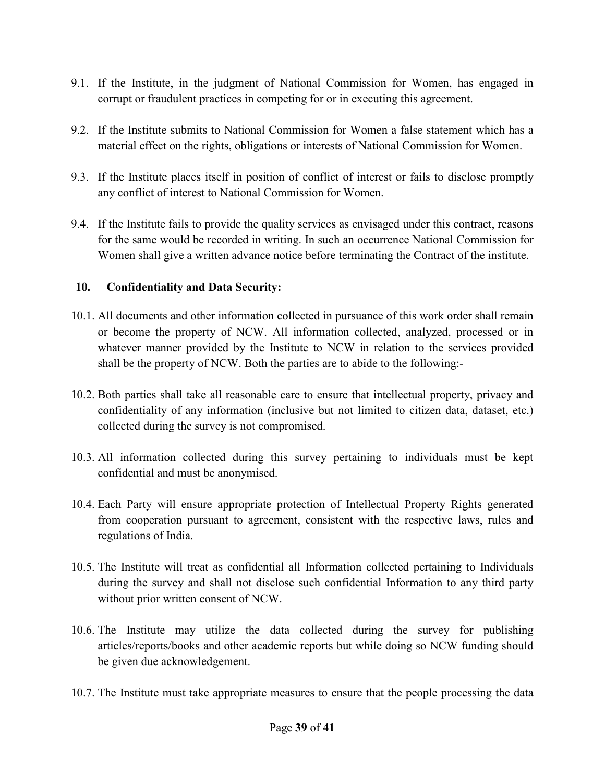- 9.1. If the Institute, in the judgment of National Commission for Women, has engaged in corrupt or fraudulent practices in competing for or in executing this agreement.
- 9.2. If the Institute submits to National Commission for Women a false statement which has a material effect on the rights, obligations or interests of National Commission for Women.
- 9.3. If the Institute places itself in position of conflict of interest or fails to disclose promptly any conflict of interest to National Commission for Women.
- 9.4. If the Institute fails to provide the quality services as envisaged under this contract, reasons for the same would be recorded in writing. In such an occurrence National Commission for Women shall give a written advance notice before terminating the Contract of the institute.

#### **10. Confidentiality and Data Security:**

- 10.1. All documents and other information collected in pursuance of this work order shall remain or become the property of NCW. All information collected, analyzed, processed or in whatever manner provided by the Institute to NCW in relation to the services provided shall be the property of NCW. Both the parties are to abide to the following:-
- 10.2. Both parties shall take all reasonable care to ensure that intellectual property, privacy and confidentiality of any information (inclusive but not limited to citizen data, dataset, etc.) collected during the survey is not compromised.
- 10.3. All information collected during this survey pertaining to individuals must be kept confidential and must be anonymised.
- 10.4. Each Party will ensure appropriate protection of Intellectual Property Rights generated from cooperation pursuant to agreement, consistent with the respective laws, rules and regulations of India.
- 10.5. The Institute will treat as confidential all Information collected pertaining to Individuals during the survey and shall not disclose such confidential Information to any third party without prior written consent of NCW.
- 10.6. The Institute may utilize the data collected during the survey for publishing articles/reports/books and other academic reports but while doing so NCW funding should be given due acknowledgement.
- 10.7. The Institute must take appropriate measures to ensure that the people processing the data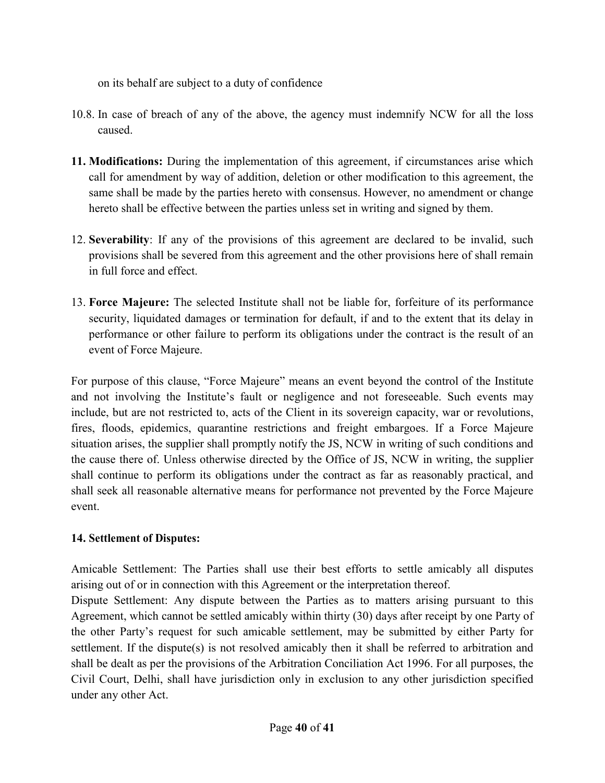on its behalf are subject to a duty of confidence

- 10.8. In case of breach of any of the above, the agency must indemnify NCW for all the loss caused.
- **11. Modifications:** During the implementation of this agreement, if circumstances arise which call for amendment by way of addition, deletion or other modification to this agreement, the same shall be made by the parties hereto with consensus. However, no amendment or change hereto shall be effective between the parties unless set in writing and signed by them.
- 12. **Severability**: If any of the provisions of this agreement are declared to be invalid, such provisions shall be severed from this agreement and the other provisions here of shall remain in full force and effect.
- 13. **Force Majeure:** The selected Institute shall not be liable for, forfeiture of its performance security, liquidated damages or termination for default, if and to the extent that its delay in performance or other failure to perform its obligations under the contract is the result of an event of Force Majeure.

For purpose of this clause, "Force Majeure" means an event beyond the control of the Institute and not involving the Institute's fault or negligence and not foreseeable. Such events may include, but are not restricted to, acts of the Client in its sovereign capacity, war or revolutions, fires, floods, epidemics, quarantine restrictions and freight embargoes. If a Force Majeure situation arises, the supplier shall promptly notify the JS, NCW in writing of such conditions and the cause there of. Unless otherwise directed by the Office of JS, NCW in writing, the supplier shall continue to perform its obligations under the contract as far as reasonably practical, and shall seek all reasonable alternative means for performance not prevented by the Force Majeure event.

## **14. Settlement of Disputes:**

Amicable Settlement: The Parties shall use their best efforts to settle amicably all disputes arising out of or in connection with this Agreement or the interpretation thereof.

Dispute Settlement: Any dispute between the Parties as to matters arising pursuant to this Agreement, which cannot be settled amicably within thirty (30) days after receipt by one Party of the other Party's request for such amicable settlement, may be submitted by either Party for settlement. If the dispute(s) is not resolved amicably then it shall be referred to arbitration and shall be dealt as per the provisions of the Arbitration Conciliation Act 1996. For all purposes, the Civil Court, Delhi, shall have jurisdiction only in exclusion to any other jurisdiction specified under any other Act.